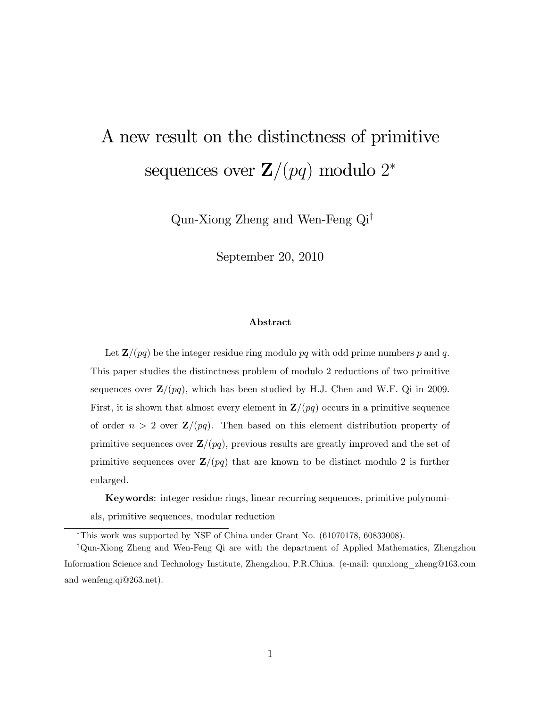# A new result on the distinctness of primitive sequences over  $\mathbf{Z}/(pq)$  modulo  $2^*$

Qun-Xiong Zheng and Wen-Feng  $Qi^{\dagger}$ 

September 20, 2010

#### Abstract

Let  $\mathbf{Z}/(pq)$  be the integer residue ring modulo pq with odd prime numbers p and q. This paper studies the distinctness problem of modulo 2 reductions of two primitive sequences over  $\mathbf{Z}/(pq)$ , which has been studied by H.J. Chen and W.F. Qi in 2009. First, it is shown that almost every element in  $\mathbf{Z}/(pq)$  occurs in a primitive sequence of order  $n > 2$  over  $\mathbf{Z}/(pq)$ . Then based on this element distribution property of primitive sequences over  $\mathbf{Z}/(pq)$ , previous results are greatly improved and the set of primitive sequences over  $\mathbf{Z}/(pq)$  that are known to be distinct modulo 2 is further enlarged.

Keywords: integer residue rings, linear recurring sequences, primitive polynomials, primitive sequences, modular reduction

This work was supported by NSF of China under Grant No. (61070178, 60833008).

<sup>y</sup>Qun-Xiong Zheng and Wen-Feng Qi are with the department of Applied Mathematics, Zhengzhou Information Science and Technology Institute, Zhengzhou, P.R.China. (e-mail: qunxiong\_zheng@163.com and wenfeng.qi@263.net).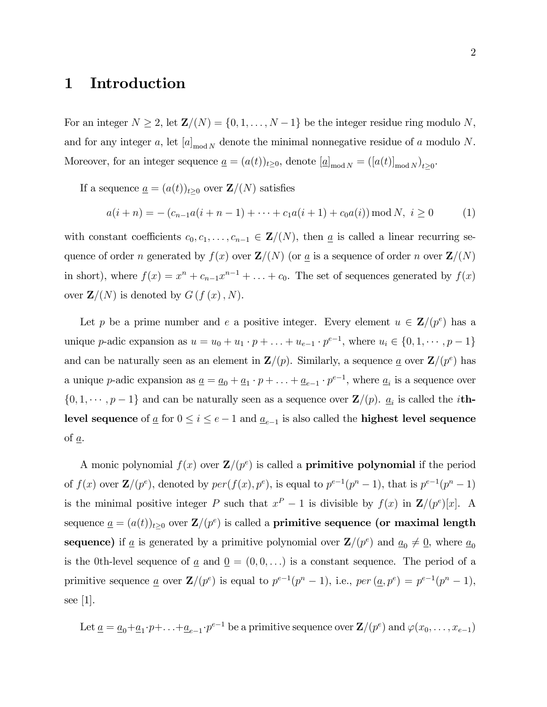### 1 Introduction

For an integer  $N \geq 2$ , let  $\mathbf{Z}/(N) = \{0, 1, \ldots, N - 1\}$  be the integer residue ring modulo N, and for any integer a, let  $[a]_{\text{mod }N}$  denote the minimal nonnegative residue of a modulo N. Moreover, for an integer sequence  $\underline{a} = (a(t))_{t\geq0}$ , denote  $[\underline{a}]_{\text{mod }N} = ([a(t)]_{\text{mod }N})_{t\geq0}$ .

If a sequence  $\underline{a} = (a(t))_{t\geq0}$  over  $\mathbf{Z}/(N)$  satisfies

$$
a(i+n) = -(c_{n-1}a(i+n-1)+\cdots+c_1a(i+1)+c_0a(i)) \bmod N, i \ge 0
$$
 (1)

with constant coefficients  $c_0, c_1, \ldots, c_{n-1} \in \mathbf{Z}/(N)$ , then  $\underline{a}$  is called a linear recurring sequence of order n generated by  $f(x)$  over  $\mathbf{Z}/(N)$  (or  $\underline{a}$  is a sequence of order n over  $\mathbf{Z}/(N)$ in short), where  $f(x) = x^n + c_{n-1}x^{n-1} + \ldots + c_0$ . The set of sequences generated by  $f(x)$ over  $\mathbf{Z}/(N)$  is denoted by  $G(f(x), N)$ .

Let p be a prime number and e a positive integer. Every element  $u \in \mathbf{Z}/(p^e)$  has a unique p-adic expansion as  $u = u_0 + u_1 \cdot p + ... + u_{e-1} \cdot p^{e-1}$ , where  $u_i \in \{0, 1, \dots, p-1\}$ and can be naturally seen as an element in  $\mathbf{Z}/(p)$ . Similarly, a sequence <u>a</u> over  $\mathbf{Z}/(p^e)$  has a unique p-adic expansion as  $\underline{a} = \underline{a}_0 + \underline{a}_1 \cdot p + \ldots + \underline{a}_{e-1} \cdot p^{e-1}$ , where  $\underline{a}_i$  is a sequence over  $\{0, 1, \dots, p-1\}$  and can be naturally seen as a sequence over  $\mathbf{Z}/(p)$ .  $\underline{a}_i$  is called the *i*thlevel sequence of  $\underline{a}$  for  $0 \leq i \leq e-1$  and  $\underline{a}_{e-1}$  is also called the **highest level sequence** of a.

A monic polynomial  $f(x)$  over  $\mathbf{Z}/(p^e)$  is called a **primitive polynomial** if the period of  $f(x)$  over  $\mathbf{Z}/(p^e)$ , denoted by  $per(f(x), p^e)$ , is equal to  $p^{e-1}(p^n - 1)$ , that is  $p^{e-1}(p^n - 1)$ is the minimal positive integer P such that  $x^P - 1$  is divisible by  $f(x)$  in  $\mathbf{Z}/(p^e)[x]$ . A sequence  $\underline{a} = (a(t))_{t\geq0}$  over  $\mathbf{Z}/(p^e)$  is called a **primitive sequence (or maximal length** sequence) if <u>a</u> is generated by a primitive polynomial over  $\mathbf{Z}/(p^e)$  and  $\underline{a}_0 \neq \underline{0}$ , where  $\underline{a}_0$ is the 0th-level sequence of  $\underline{a}$  and  $\underline{0} = (0,0,\ldots)$  is a constant sequence. The period of a primitive sequence <u>a</u> over  $\mathbf{Z}/(p^e)$  is equal to  $p^{e-1}(p^n-1)$ , i.e.,  $per(\underline{a}, p^e) = p^{e-1}(p^n-1)$ , see [1].

Let 
$$
\underline{a} = \underline{a}_0 + \underline{a}_1 \cdot p + \ldots + \underline{a}_{e-1} \cdot p^{e-1}
$$
 be a primitive sequence over  $\mathbf{Z}/(p^e)$  and  $\varphi(x_0, \ldots, x_{e-1})$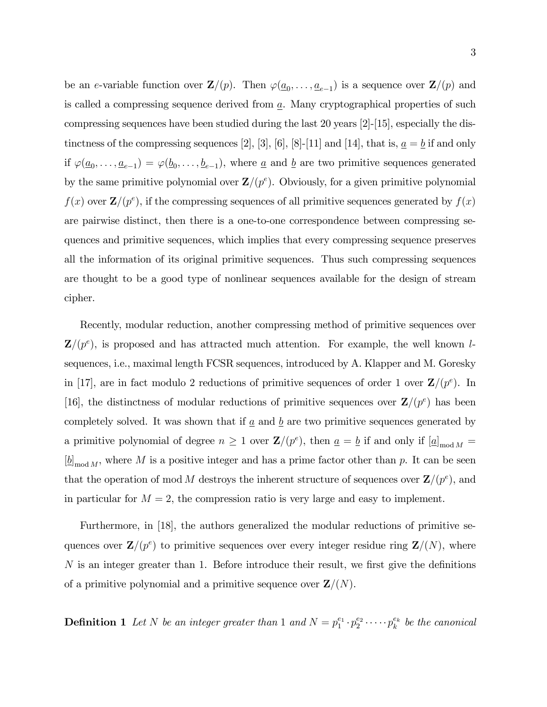be an e-variable function over  $\mathbf{Z}/(p)$ . Then  $\varphi(\underline{a}_0,\ldots,\underline{a}_{e-1})$  is a sequence over  $\mathbf{Z}/(p)$  and is called a compressing sequence derived from  $\underline{a}$ . Many cryptographical properties of such compressing sequences have been studied during the last 20 years [2]-[15], especially the distinctness of the compressing sequences [2], [3], [6], [8]-[11] and [14], that is,  $\underline{a} = \underline{b}$  if and only if  $\varphi(\underline{a}_0,\ldots,\underline{a}_{e-1}) = \varphi(\underline{b}_0,\ldots,\underline{b}_{e-1}),$  where  $\underline{a}$  and  $\underline{b}$  are two primitive sequences generated by the same primitive polynomial over  $\mathbf{Z}/(p^e)$ . Obviously, for a given primitive polynomial  $f(x)$  over  $\mathbf{Z}/(p^e)$ , if the compressing sequences of all primitive sequences generated by  $f(x)$ are pairwise distinct, then there is a one-to-one correspondence between compressing sequences and primitive sequences, which implies that every compressing sequence preserves all the information of its original primitive sequences. Thus such compressing sequences are thought to be a good type of nonlinear sequences available for the design of stream cipher.

Recently, modular reduction, another compressing method of primitive sequences over  $\mathbf{Z}/(p^e)$ , is proposed and has attracted much attention. For example, the well known lsequences, i.e., maximal length FCSR sequences, introduced by A. Klapper and M. Goresky in [17], are in fact modulo 2 reductions of primitive sequences of order 1 over  $\mathbf{Z}/(p^e)$ . In [16], the distinctness of modular reductions of primitive sequences over  $\mathbf{Z}/(p^e)$  has been completely solved. It was shown that if  $\underline{a}$  and  $\underline{b}$  are two primitive sequences generated by a primitive polynomial of degree  $n \geq 1$  over  $\mathbf{Z}/(p^e)$ , then  $\underline{a} = \underline{b}$  if and only if  $[\underline{a}]_{\text{mod }M} =$  $[\underline{b}]_{\text{mod }M}$ , where M is a positive integer and has a prime factor other than p. It can be seen that the operation of mod M destroys the inherent structure of sequences over  $\mathbf{Z}/(p^e)$ , and in particular for  $M = 2$ , the compression ratio is very large and easy to implement.

Furthermore, in [18], the authors generalized the modular reductions of primitive sequences over  $\mathbf{Z}/(p^e)$  to primitive sequences over every integer residue ring  $\mathbf{Z}/(N)$ , where  $N$  is an integer greater than 1. Before introduce their result, we first give the definitions of a primitive polynomial and a primitive sequence over  $\mathbf{Z}/(N)$ .

**Definition 1** Let N be an integer greater than 1 and  $N = p_1^{e_1} \cdot p_2^{e_2} \cdot \cdots \cdot p_k^{e_k}$  be the canonical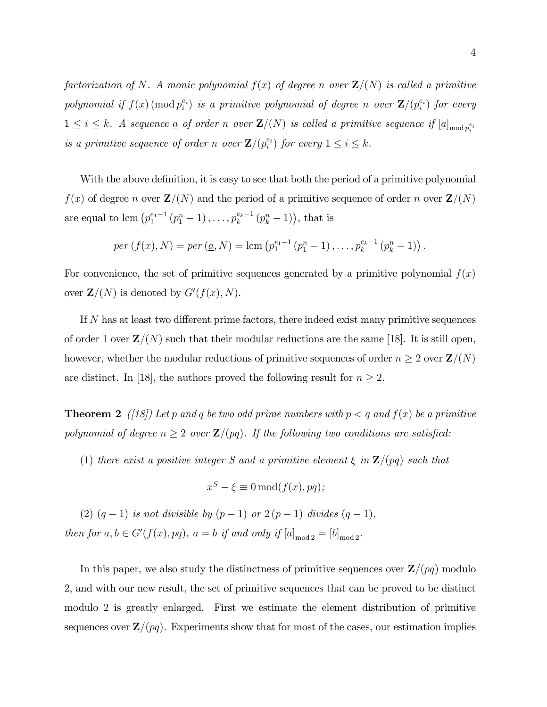factorization of N. A monic polynomial  $f(x)$  of degree n over  $\mathbf{Z}/(N)$  is called a primitive polynomial if  $f(x) \pmod{p_i^{e_i}}$  is a primitive polynomial of degree n over  $\mathbf{Z}/(p_i^{e_i})$  for every  $1 \leq i \leq k$ . A sequence <u>a</u> of order n over  $\mathbf{Z}/(N)$  is called a primitive sequence if  $[\underline{a}]_{\text{mod }p_i^{e_i}}$ is a primitive sequence of order n over  $\mathbf{Z}/(p_i^{e_i})$  for every  $1 \le i \le k$ .

With the above definition, it is easy to see that both the period of a primitive polynomial  $f(x)$  of degree n over  $\mathbf{Z}/(N)$  and the period of a primitive sequence of order n over  $\mathbf{Z}/(N)$ are equal to lcm  $(p_1^{e_1-1}(p_1^n-1),...,p_k^{e_k-1}(p_k^n-1)),$  that is

$$
per(f(x), N) = per (\underline{a}, N) = lcm(p_1^{e_1-1}(p_1^n - 1), ..., p_k^{e_k-1}(p_k^n - 1)).
$$

For convenience, the set of primitive sequences generated by a primitive polynomial  $f(x)$ over  $\mathbf{Z}/(N)$  is denoted by  $G'(f(x), N)$ .

If  $N$  has at least two different prime factors, there indeed exist many primitive sequences of order 1 over  $\mathbf{Z}/(N)$  such that their modular reductions are the same [18]. It is still open, however, whether the modular reductions of primitive sequences of order  $n \geq 2$  over  $\mathbf{Z}/(N)$ are distinct. In [18], the authors proved the following result for  $n \geq 2$ .

**Theorem 2** ([18]) Let p and q be two odd prime numbers with  $p < q$  and  $f(x)$  be a primitive polynomial of degree  $n \geq 2$  over  $\mathbf{Z}/(pq)$ . If the following two conditions are satisfied:

(1) there exist a positive integer S and a primitive element  $\xi$  in  $\mathbf{Z}/(pq)$  such that

$$
x^S - \xi \equiv 0 \mod(f(x), pq);
$$

(2)  $(q - 1)$  is not divisible by  $(p - 1)$  or  $2(p - 1)$  divides  $(q - 1)$ , then for  $\underline{a}, \underline{b} \in G'(f(x), pq), \underline{a} = \underline{b}$  if and only if  $[\underline{a}]_{\text{mod }2} = [\underline{b}]_{\text{mod }2}$ .

In this paper, we also study the distinctness of primitive sequences over  $\mathbf{Z}/(pq)$  modulo 2, and with our new result, the set of primitive sequences that can be proved to be distinct modulo 2 is greatly enlarged. First we estimate the element distribution of primitive sequences over  $\mathbf{Z}/(pq)$ . Experiments show that for most of the cases, our estimation implies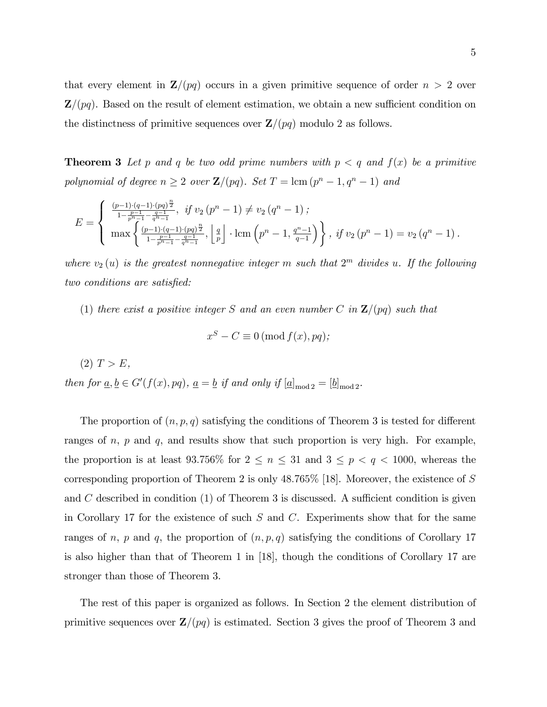that every element in  $\mathbf{Z}/(pq)$  occurs in a given primitive sequence of order  $n > 2$  over  $\mathbf{Z}/(pq)$ . Based on the result of element estimation, we obtain a new sufficient condition on the distinctness of primitive sequences over  $\mathbf{Z}/(pq)$  modulo 2 as follows.

**Theorem 3** Let p and q be two odd prime numbers with  $p < q$  and  $f(x)$  be a primitive polynomial of degree  $n \geq 2$  over  $\mathbf{Z}/(pq)$ . Set  $T = \text{lcm } (p^n - 1, q^n - 1)$  and

$$
E = \begin{cases} \frac{(p-1)\cdot (q-1)\cdot (pq)^{\frac{n}{2}}}{1-\frac{p-1}{p^{n}-1}-\frac{q-1}{q^{n}-1}}, & \text{if } v_2 \left(p^n-1\right) \neq v_2 \left(q^n-1\right); \\ \max \left\{ \frac{(p-1)\cdot (q-1)\cdot (pq)^{\frac{n}{2}}}{1-\frac{p-1}{p^{n}-1}-\frac{q-1}{q^{n}-1}}, \left\lfloor \frac{q}{p} \right\rfloor \cdot \operatorname{lcm}\left(p^n-1, \frac{q^n-1}{q-1}\right) \right\}, & \text{if } v_2 \left(p^n-1\right) = v_2 \left(q^n-1\right). \end{cases}
$$

where  $v_2(u)$  is the greatest nonnegative integer m such that  $2^m$  divides u. If the following two conditions are satisfied:

(1) there exist a positive integer S and an even number C in  $\mathbb{Z}/(pq)$  such that

$$
x^{S} - C \equiv 0 \left( \text{mod } f(x), pq \right);
$$

 $(2)$   $T > E$ ,

then for  $\underline{a}, \underline{b} \in G'(f(x), pq)$ ,  $\underline{a} = \underline{b}$  if and only if  $[\underline{a}]_{\text{mod }2} = [\underline{b}]_{\text{mod }2}$ .

The proportion of  $(n, p, q)$  satisfying the conditions of Theorem 3 is tested for different ranges of  $n, p$  and  $q$ , and results show that such proportion is very high. For example, the proportion is at least 93.756% for  $2 \le n \le 31$  and  $3 \le p < q < 1000$ , whereas the corresponding proportion of Theorem 2 is only 48:765% [18]. Moreover, the existence of S and  $C$  described in condition  $(1)$  of Theorem 3 is discussed. A sufficient condition is given in Corollary 17 for the existence of such  $S$  and  $C$ . Experiments show that for the same ranges of n, p and q, the proportion of  $(n, p, q)$  satisfying the conditions of Corollary 17 is also higher than that of Theorem 1 in [18], though the conditions of Corollary 17 are stronger than those of Theorem 3.

The rest of this paper is organized as follows. In Section 2 the element distribution of primitive sequences over  $\mathbf{Z}/(pq)$  is estimated. Section 3 gives the proof of Theorem 3 and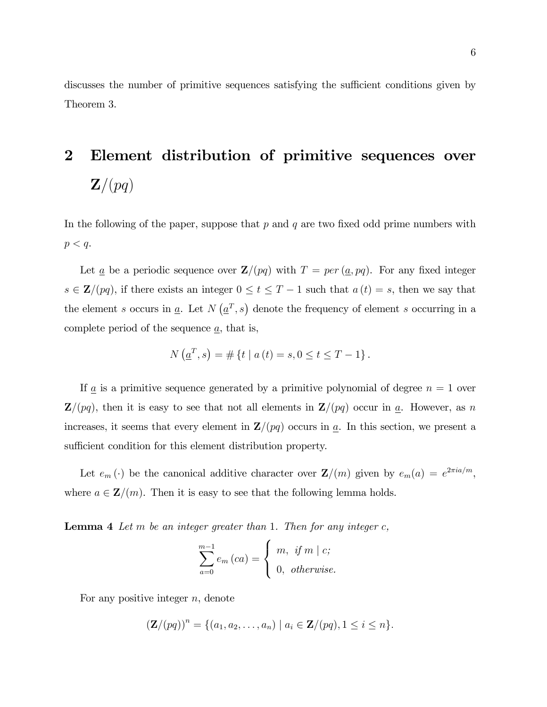discusses the number of primitive sequences satisfying the sufficient conditions given by Theorem 3.

## 2 Element distribution of primitive sequences over  $\mathbf{Z}/(pq)$

In the following of the paper, suppose that  $p$  and  $q$  are two fixed odd prime numbers with  $p < q$ .

Let  $\underline{a}$  be a periodic sequence over  $\mathbf{Z}/(pq)$  with  $T = per (\underline{a}, pq)$ . For any fixed integer  $s \in \mathbf{Z}/(pq)$ , if there exists an integer  $0 \le t \le T - 1$  such that  $a(t) = s$ , then we say that the element s occurs in <u>a</u>. Let  $N(\underline{a}^T, s)$  denote the frequency of element s occurring in a complete period of the sequence  $\underline{a}$ , that is,

$$
N\left(\underline{a}^T, s\right) = \#\left\{t \mid a\left(t\right) = s, 0 \le t \le T - 1\right\}.
$$

If  $\underline{a}$  is a primitive sequence generated by a primitive polynomial of degree  $n = 1$  over  $\mathbf{Z}/(pq)$ , then it is easy to see that not all elements in  $\mathbf{Z}/(pq)$  occur in  $q$ . However, as n increases, it seems that every element in  $\mathbf{Z}/(pq)$  occurs in  $q$ . In this section, we present a sufficient condition for this element distribution property.

Let  $e_m(\cdot)$  be the canonical additive character over  $\mathbf{Z}/(m)$  given by  $e_m(a) = e^{2\pi i a/m}$ , where  $a \in \mathbf{Z}/(m)$ . Then it is easy to see that the following lemma holds.

**Lemma 4** Let  $m$  be an integer greater than 1. Then for any integer  $c$ ,

$$
\sum_{a=0}^{m-1} e_m (ca) = \begin{cases} m, & \text{if } m \mid c; \\ 0, & \text{otherwise.} \end{cases}
$$

For any positive integer  $n$ , denote

$$
(\mathbf{Z}/(pq))^n = \{ (a_1, a_2, \ldots, a_n) \mid a_i \in \mathbf{Z}/(pq), 1 \leq i \leq n \}.
$$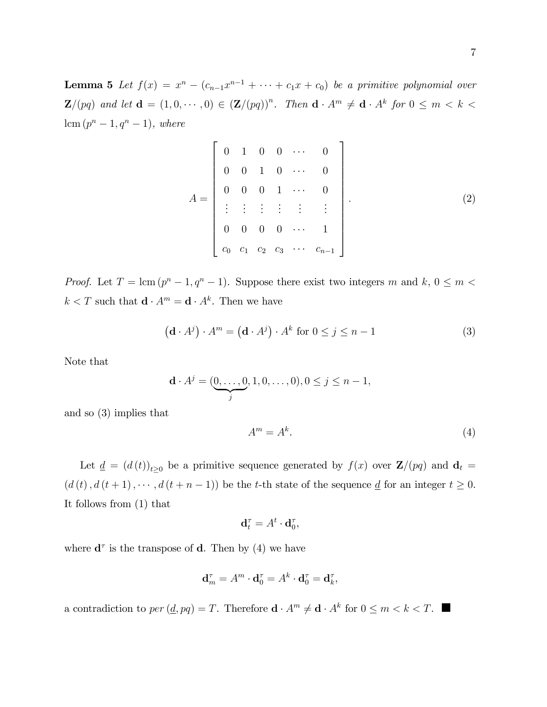**Lemma 5** Let  $f(x) = x^n - (c_{n-1}x^{n-1} + \cdots + c_1x + c_0)$  be a primitive polynomial over  $\mathbf{Z}/(pq)$  and let  $\mathbf{d} = (1, 0, \dots, 0) \in (\mathbf{Z}/(pq))^n$ . Then  $\mathbf{d} \cdot A^m \neq \mathbf{d} \cdot A^k$  for  $0 \leq m < k <$  $lcm (p^{n} - 1, q^{n} - 1), where$ 

$$
A = \begin{bmatrix} 0 & 1 & 0 & 0 & \cdots & 0 \\ 0 & 0 & 1 & 0 & \cdots & 0 \\ 0 & 0 & 0 & 1 & \cdots & 0 \\ \vdots & \vdots & \vdots & \vdots & \vdots & \vdots \\ 0 & 0 & 0 & 0 & \cdots & 1 \\ c_0 & c_1 & c_2 & c_3 & \cdots & c_{n-1} \end{bmatrix} .
$$
 (2)

*Proof.* Let  $T = \text{lcm}(p^n - 1, q^n - 1)$ . Suppose there exist two integers m and  $k, 0 \le m <$  $k < T$  such that  $\mathbf{d} \cdot A^m = \mathbf{d} \cdot A^k$ . Then we have

$$
(\mathbf{d} \cdot A^j) \cdot A^m = (\mathbf{d} \cdot A^j) \cdot A^k \text{ for } 0 \le j \le n - 1
$$
 (3)

Note that

$$
\mathbf{d} \cdot A^j = (\underbrace{0, \dots, 0}_{j}, 1, 0, \dots, 0), 0 \le j \le n - 1,
$$

and so (3) implies that

$$
A^m = A^k. \tag{4}
$$

Let  $\underline{d} = (d(t))_{t\geq0}$  be a primitive sequence generated by  $f(x)$  over  $\mathbf{Z}/(pq)$  and  $\mathbf{d}_t =$  $(d(t), d(t+1), \dots, d(t+n-1))$  be the t-th state of the sequence  $\underline{d}$  for an integer  $t \geq 0$ . It follows from (1) that

$$
\mathbf{d}_t^{\tau} = A^t \cdot \mathbf{d}_0^{\tau},
$$

where  $\mathbf{d}^{\tau}$  is the transpose of **d**. Then by (4) we have

$$
\mathbf{d}_m^{\tau} = A^m \cdot \mathbf{d}_0^{\tau} = A^k \cdot \mathbf{d}_0^{\tau} = \mathbf{d}_k^{\tau},
$$

a contradiction to  $per(\underline{d}, pq) = T$ . Therefore  $\mathbf{d} \cdot A^m \neq \mathbf{d} \cdot A^k$  for  $0 \leq m < k < T$ .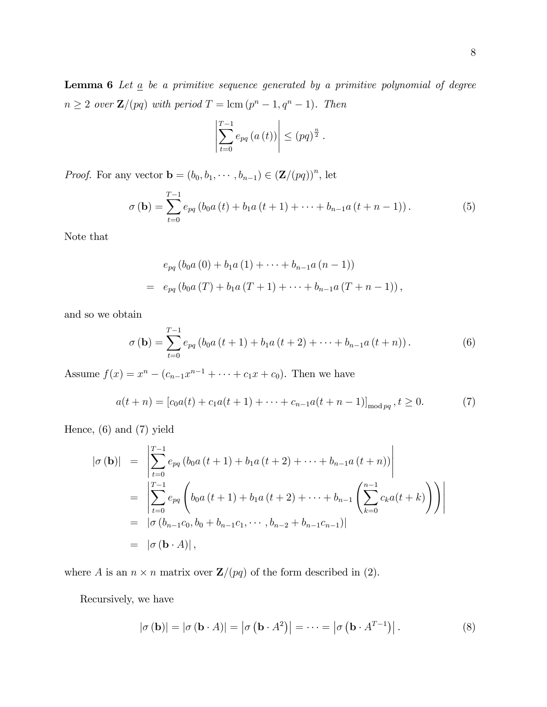$$
\left| \sum_{t=0}^{T-1} e_{pq} (a(t)) \right| \le (pq)^{\frac{n}{2}}.
$$

*Proof.* For any vector  $\mathbf{b} = (b_0, b_1, \dots, b_{n-1}) \in (\mathbf{Z}/(pq))^n$ , let

$$
\sigma\left(\mathbf{b}\right) = \sum_{t=0}^{T-1} e_{pq} \left(b_0 a\left(t\right) + b_1 a\left(t+1\right) + \dots + b_{n-1} a\left(t+n-1\right)\right).
$$
 (5)

Note that

$$
e_{pq} (b_0 a (0) + b_1 a (1) + \cdots + b_{n-1} a (n - 1))
$$
  
= 
$$
e_{pq} (b_0 a (T) + b_1 a (T + 1) + \cdots + b_{n-1} a (T + n - 1)),
$$

and so we obtain

$$
\sigma\left(\mathbf{b}\right) = \sum_{t=0}^{T-1} e_{pq} \left(b_0 a\left(t+1\right) + b_1 a\left(t+2\right) + \dots + b_{n-1} a\left(t+n\right)\right).
$$
 (6)

Assume  $f(x) = x^n - (c_{n-1}x^{n-1} + \cdots + c_1x + c_0)$ . Then we have

$$
a(t+n) = [c_0 a(t) + c_1 a(t+1) + \dots + c_{n-1} a(t+n-1)]_{\text{mod } pq}, t \ge 0.
$$
 (7)

Hence, (6) and (7) yield

$$
|\sigma(\mathbf{b})| = \left| \sum_{t=0}^{T-1} e_{pq} (b_0 a(t+1) + b_1 a(t+2) + \dots + b_{n-1} a(t+n)) \right|
$$
  
\n
$$
= \left| \sum_{t=0}^{T-1} e_{pq} \left( b_0 a(t+1) + b_1 a(t+2) + \dots + b_{n-1} \left( \sum_{k=0}^{n-1} c_k a(t+k) \right) \right) \right|
$$
  
\n
$$
= |\sigma(b_{n-1}c_0, b_0 + b_{n-1}c_1, \dots, b_{n-2} + b_{n-1}c_{n-1})|
$$
  
\n
$$
= |\sigma(\mathbf{b} \cdot A)|,
$$

where A is an  $n \times n$  matrix over  $\mathbf{Z}/(pq)$  of the form described in (2).

Recursively, we have

$$
|\sigma(\mathbf{b})| = |\sigma(\mathbf{b} \cdot A)| = |\sigma(\mathbf{b} \cdot A^2)| = \dots = |\sigma(\mathbf{b} \cdot A^{T-1})|.
$$
 (8)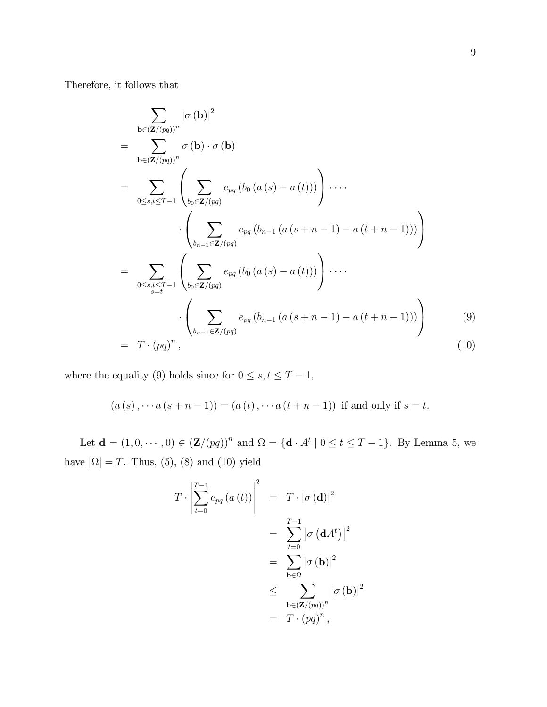Therefore, it follows that

$$
\sum_{\mathbf{b}\in(\mathbf{Z}/(pq))^n} |\sigma(\mathbf{b})|^2
$$
\n
$$
= \sum_{\mathbf{b}\in(\mathbf{Z}/(pq))^n} \sigma(\mathbf{b}) \cdot \overline{\sigma(\mathbf{b})}
$$
\n
$$
= \sum_{0\leq s,t\leq T-1} \left( \sum_{b_0\in\mathbf{Z}/(pq)} e_{pq} (b_0 (a(s) - a(t))) \right) \cdots
$$
\n
$$
\cdot \left( \sum_{b_{n-1}\in\mathbf{Z}/(pq)} e_{pq} (b_{n-1} (a(s+n-1) - a(t+n-1))) \right)
$$
\n
$$
= \sum_{0\leq s,t\leq T-1} \left( \sum_{b_0\in\mathbf{Z}/(pq)} e_{pq} (b_0 (a(s) - a(t))) \right) \cdots
$$
\n
$$
\cdot \left( \sum_{b_{n-1}\in\mathbf{Z}/(pq)} e_{pq} (b_{n-1} (a(s+n-1) - a(t+n-1))) \right)
$$
\n
$$
= T \cdot (pq)^n, \qquad (10)
$$

where the equality (9) holds since for  $0 \leq s, t \leq T - 1$ ,

$$
(a(s), \dots a(s+n-1)) = (a(t), \dots a(t+n-1))
$$
 if and only if  $s = t$ .

Let  $\mathbf{d} = (1, 0, \dots, 0) \in (\mathbf{Z}/(pq))^n$  and  $\Omega = {\mathbf{d} \cdot A^t \mid 0 \le t \le T - 1}$ . By Lemma 5, we have  $|\Omega| = T$ . Thus, (5), (8) and (10) yield

$$
T \cdot \left| \sum_{t=0}^{T-1} e_{pq} (a(t)) \right|^2 = T \cdot |\sigma(\mathbf{d})|^2
$$
  
= 
$$
\sum_{t=0}^{T-1} |\sigma(\mathbf{d}A^t)|^2
$$
  
= 
$$
\sum_{\mathbf{b} \in \Omega} |\sigma(\mathbf{b})|^2
$$
  

$$
\leq \sum_{\mathbf{b} \in (\mathbf{Z}/(pq))^n} |\sigma(\mathbf{b})|^2
$$
  
= 
$$
T \cdot (pq)^n,
$$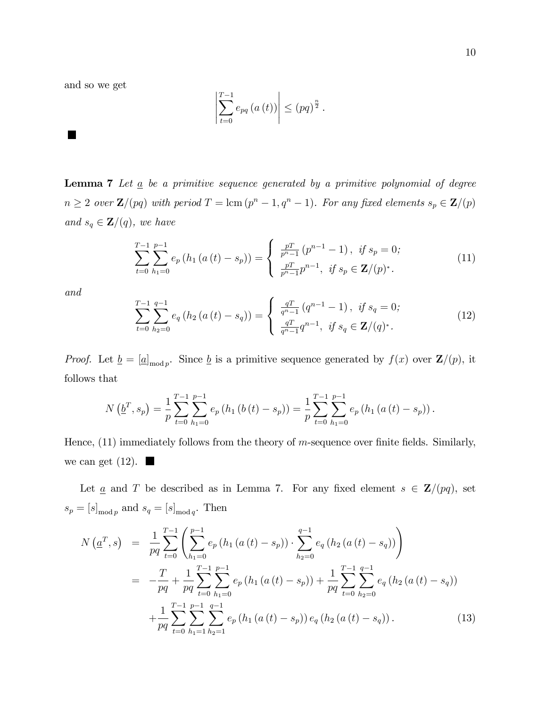and so we get

$$
\left|\sum_{t=0}^{T-1} e_{pq}\left(a\left(t\right)\right)\right| \leq \left(pq\right)^{\frac{n}{2}}.
$$

**Lemma 7** Let  $\underline{a}$  be a primitive sequence generated by a primitive polynomial of degree  $n \geq 2$  over  $\mathbf{Z}/(pq)$  with period  $T = \text{lcm } (p^n - 1, q^n - 1)$ . For any fixed elements  $s_p \in \mathbf{Z}/(p)$ and  $s_q \in \mathbf{Z}/(q)$ , we have

$$
\sum_{t=0}^{T-1} \sum_{h_1=0}^{p-1} e_p(h_1(a(t) - s_p)) = \begin{cases} \frac{pT}{p^n - 1} (p^{n-1} - 1), & \text{if } s_p = 0; \\ \frac{pT}{p^n - 1} p^{n-1}, & \text{if } s_p \in \mathbf{Z}/(p)^*. \end{cases}
$$
(11)

and

$$
\sum_{t=0}^{T-1} \sum_{h_2=0}^{q-1} e_q \left( h_2 \left( a \left( t \right) - s_q \right) \right) = \begin{cases} \frac{q}{q^n - 1} \left( q^{n-1} - 1 \right), & \text{if } s_q = 0; \\ \frac{q}{q^n - 1} q^{n-1}, & \text{if } s_q \in \mathbb{Z}/(q)^* . \end{cases} \tag{12}
$$

*Proof.* Let  $\underline{b} = [\underline{a}]_{\text{mod }p}$ . Since  $\underline{b}$  is a primitive sequence generated by  $f(x)$  over  $\mathbf{Z}/(p)$ , it follows that

$$
N\left(\underline{b}^{T},s_{p}\right)=\frac{1}{p}\sum_{t=0}^{T-1}\sum_{h_{1}=0}^{p-1}e_{p}\left(h_{1}\left(b\left(t\right)-s_{p}\right)\right)=\frac{1}{p}\sum_{t=0}^{T-1}\sum_{h_{1}=0}^{p-1}e_{p}\left(h_{1}\left(a\left(t\right)-s_{p}\right)\right).
$$

Hence,  $(11)$  immediately follows from the theory of m-sequence over finite fields. Similarly, we can get  $(12)$ .

Let <u>a</u> and T be described as in Lemma 7. For any fixed element  $s \in \mathbf{Z}/(pq)$ , set  $s_p = [s]_{\text{mod }p}$  and  $s_q = [s]_{\text{mod }q}$ . Then

$$
N\left(\underline{a}^T, s\right) = \frac{1}{pq} \sum_{t=0}^{T-1} \left( \sum_{h_1=0}^{p-1} e_p \left( h_1 \left( a \left( t \right) - s_p \right) \right) \cdot \sum_{h_2=0}^{q-1} e_q \left( h_2 \left( a \left( t \right) - s_q \right) \right) \right)
$$
  
\n
$$
= -\frac{T}{pq} + \frac{1}{pq} \sum_{t=0}^{T-1} \sum_{h_1=0}^{p-1} e_p \left( h_1 \left( a \left( t \right) - s_p \right) \right) + \frac{1}{pq} \sum_{t=0}^{T-1} \sum_{h_2=0}^{q-1} e_q \left( h_2 \left( a \left( t \right) - s_q \right) \right)
$$
  
\n
$$
+ \frac{1}{pq} \sum_{t=0}^{T-1} \sum_{h_1=1}^{p-1} \sum_{h_2=1}^{q-1} e_p \left( h_1 \left( a \left( t \right) - s_p \right) \right) e_q \left( h_2 \left( a \left( t \right) - s_q \right) \right).
$$
 (13)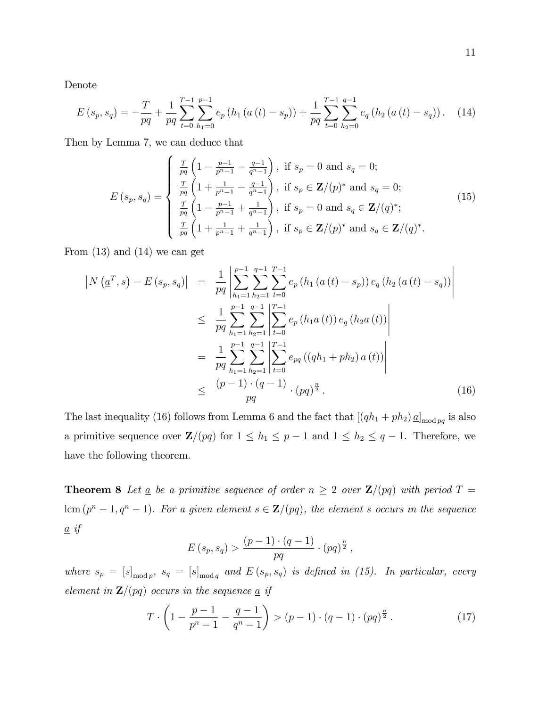Denote

$$
E(s_p, s_q) = -\frac{T}{pq} + \frac{1}{pq} \sum_{t=0}^{T-1} \sum_{h_1=0}^{p-1} e_p(h_1(a(t) - s_p)) + \frac{1}{pq} \sum_{t=0}^{T-1} \sum_{h_2=0}^{q-1} e_q(h_2(a(t) - s_q)).
$$
 (14)

Then by Lemma 7, we can deduce that

$$
E(s_p, s_q) = \begin{cases} \frac{T}{pq} \left( 1 - \frac{p-1}{p^n - 1} - \frac{q-1}{q^n - 1} \right), & \text{if } s_p = 0 \text{ and } s_q = 0; \\ \frac{T}{pq} \left( 1 + \frac{1}{p^n - 1} - \frac{q-1}{q^n - 1} \right), & \text{if } s_p \in \mathbb{Z}/(p)^* \text{ and } s_q = 0; \\ \frac{T}{pq} \left( 1 - \frac{p-1}{p^n - 1} + \frac{1}{q^n - 1} \right), & \text{if } s_p = 0 \text{ and } s_q \in \mathbb{Z}/(q)^*; \\ \frac{T}{pq} \left( 1 + \frac{1}{p^n - 1} + \frac{1}{q^n - 1} \right), & \text{if } s_p \in \mathbb{Z}/(p)^* \text{ and } s_q \in \mathbb{Z}/(q)^*. \end{cases} (15)
$$

From  $(13)$  and  $(14)$  we can get

$$
\begin{split}\n\left|N\left(\underline{a}^{T},s\right)-E\left(s_{p},s_{q}\right)\right| &= \frac{1}{pq}\left|\sum_{h_{1}=1}^{p-1}\sum_{h_{2}=1}^{q-1}\sum_{t=0}^{T-1}e_{p}\left(h_{1}\left(a\left(t\right)-s_{p}\right)\right)e_{q}\left(h_{2}\left(a\left(t\right)-s_{q}\right)\right)\right| \\
&\leq \frac{1}{pq}\sum_{h_{1}=1}^{p-1}\sum_{h_{2}=1}^{q-1}\left|\sum_{t=0}^{T-1}e_{p}\left(h_{1}a\left(t\right)\right)e_{q}\left(h_{2}a\left(t\right)\right)\right| \\
&= \frac{1}{pq}\sum_{h_{1}=1}^{p-1}\sum_{h_{2}=1}^{q-1}\left|\sum_{t=0}^{T-1}e_{pq}\left(\left(qh_{1}+ph_{2}\right)a\left(t\right)\right)\right| \\
&\leq \frac{\left(p-1\right)\cdot\left(q-1\right)}{pq}\cdot\left(pq\right)^{\frac{n}{2}}.\n\end{split} \tag{16}
$$

The last inequality (16) follows from Lemma 6 and the fact that  $[(qh_1 + ph_2) \underline{a}]_{\text{mod } pq}$  is also a primitive sequence over  $\mathbf{Z}/(pq)$  for  $1 \leq h_1 \leq p - 1$  and  $1 \leq h_2 \leq q - 1$ . Therefore, we have the following theorem.

**Theorem 8** Let  $\underline{a}$  be a primitive sequence of order  $n \geq 2$  over  $\mathbf{Z}/(pq)$  with period  $T =$  $lcm (p<sup>n</sup>-1, q<sup>n</sup>-1)$ . For a given element  $s \in \mathbf{Z}/(pq)$ , the element s occurs in the sequence  $\underline{a}$  if

$$
E(s_p, s_q) > \frac{(p-1) \cdot (q-1)}{pq} \cdot (pq)^{\frac{n}{2}},
$$

where  $s_p = [s]_{\text{mod }p}$ ,  $s_q = [s]_{\text{mod }q}$  and  $E(s_p, s_q)$  is defined in (15). In particular, every element in  $\mathbf{Z}/(pq)$  occurs in the sequence  $\underline{a}$  if

$$
T \cdot \left(1 - \frac{p-1}{p^n - 1} - \frac{q-1}{q^n - 1}\right) > (p-1) \cdot (q-1) \cdot (pq)^{\frac{n}{2}} \,. \tag{17}
$$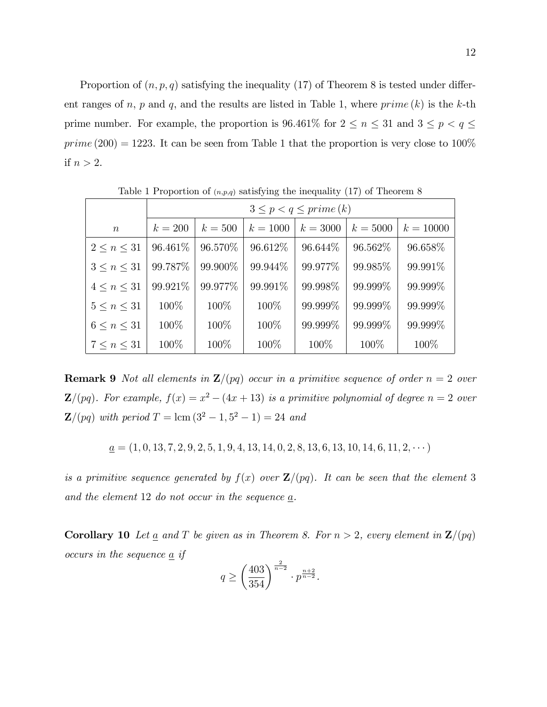Proportion of  $(n, p, q)$  satisfying the inequality (17) of Theorem 8 is tested under different ranges of n, p and q, and the results are listed in Table 1, where  $prime (k)$  is the k-th prime number. For example, the proportion is 96.461% for  $2 \le n \le 31$  and  $3 \le p < q \le$  $prime (200) = 1223$ . It can be seen from Table 1 that the proportion is very close to 100% if  $n > 2$ .

|                    | $3 \leq p < q \leq prime(k)$ |          |            |            |            |             |  |
|--------------------|------------------------------|----------|------------|------------|------------|-------------|--|
| $\boldsymbol{n}$   | $k=200$                      | $k=500$  | $k = 1000$ | $k = 3000$ | $k = 5000$ | $k = 10000$ |  |
| $2 \leq n \leq 31$ | 96.461\%                     | 96.570\% | 96.612\%   | 96.644\%   | 96.562\%   | 96.658\%    |  |
| $3 \leq n \leq 31$ | 99.787\%                     | 99.900\% | 99.944\%   | 99.977%    | 99.985%    | 99.991\%    |  |
| $4 \leq n \leq 31$ | 99.921\%                     | 99.977\% | 99.991%    | 99.998\%   | 99.999%    | 99.999%     |  |
| 5 < n < 31         | 100\%                        | 100\%    | 100\%      | 99.999\%   | 99.999%    | 99.999\%    |  |
| $6 \leq n \leq 31$ | 100%                         | 100\%    | 100\%      | 99.999%    | 99.999%    | 99.999%     |  |
| $7 \leq n \leq 31$ | 100\%                        | 100\%    | 100\%      | 100\%      | 100\%      | 100\%       |  |

Table 1 Proportion of  $(n, p, q)$  satisfying the inequality (17) of Theorem 8

**Remark 9** Not all elements in  $\mathbb{Z}/(pq)$  occur in a primitive sequence of order  $n = 2$  over **Z**/(pq). For example,  $f(x) = x^2 - (4x + 13)$  is a primitive polynomial of degree  $n = 2$  over  $\mathbf{Z}/(pq)$  with period  $T = \text{lcm } (3^2 - 1, 5^2 - 1) = 24$  and

$$
\underline{a} = (1, 0, 13, 7, 2, 9, 2, 5, 1, 9, 4, 13, 14, 0, 2, 8, 13, 6, 13, 10, 14, 6, 11, 2, \cdots)
$$

is a primitive sequence generated by  $f(x)$  over  $\mathbf{Z}/(pq)$ . It can be seen that the element 3 and the element 12 do not occur in the sequence a.

**Corollary 10** Let <u>a</u> and T be given as in Theorem 8. For  $n > 2$ , every element in  $\mathbb{Z}/(pq)$ occurs in the sequence  $\underline{a}$  if

$$
q \ge \left(\frac{403}{354}\right)^{\frac{2}{n-2}} \cdot p^{\frac{n+2}{n-2}}.
$$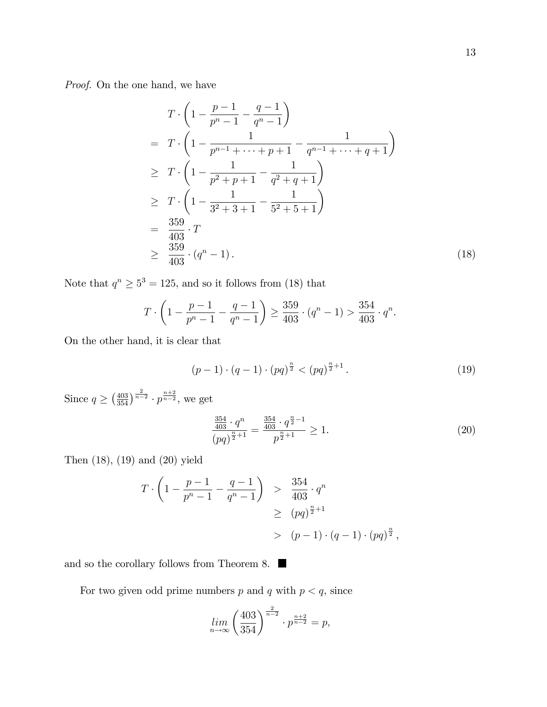Proof. On the one hand, we have

$$
T \cdot \left(1 - \frac{p-1}{p^n - 1} - \frac{q-1}{q^n - 1}\right)
$$
  
=  $T \cdot \left(1 - \frac{1}{p^{n-1} + \dots + p+1} - \frac{1}{q^{n-1} + \dots + q+1}\right)$   
 $\geq T \cdot \left(1 - \frac{1}{p^2 + p + 1} - \frac{1}{q^2 + q + 1}\right)$   
 $\geq T \cdot \left(1 - \frac{1}{3^2 + 3 + 1} - \frac{1}{5^2 + 5 + 1}\right)$   
=  $\frac{359}{403} \cdot T$   
 $\geq \frac{359}{403} \cdot (q^n - 1).$  (18)

Note that  $q^n \geq 5^3 = 125$ , and so it follows from (18) that

$$
T \cdot \left(1 - \frac{p-1}{p^n - 1} - \frac{q-1}{q^n - 1}\right) \ge \frac{359}{403} \cdot (q^n - 1) > \frac{354}{403} \cdot q^n.
$$

On the other hand, it is clear that

$$
(p-1)\cdot (q-1)\cdot (pq)^{\frac{n}{2}} < (pq)^{\frac{n}{2}+1} \,. \tag{19}
$$

Since  $q \ge (\frac{403}{354})^{\frac{2}{n-2}} \cdot p^{\frac{n+2}{n-2}}$ , we get

$$
\frac{\frac{354}{403} \cdot q^n}{(pq)^{\frac{n}{2}+1}} = \frac{\frac{354}{403} \cdot q^{\frac{n}{2}-1}}{p^{\frac{n}{2}+1}} \ge 1.
$$
\n(20)

Then (18), (19) and (20) yield

$$
T \cdot \left(1 - \frac{p-1}{p^n - 1} - \frac{q-1}{q^n - 1}\right) > \frac{354}{403} \cdot q^n
$$
  
\n
$$
\geq (pq)^{\frac{n}{2}+1}
$$
  
\n
$$
> (p-1) \cdot (q-1) \cdot (pq)^{\frac{n}{2}},
$$

and so the corollary follows from Theorem 8.

For two given odd prime numbers  $p$  and  $q$  with  $p < q,$  since

$$
\lim_{n \to \infty} \left( \frac{403}{354} \right)^{\frac{2}{n-2}} \cdot p^{\frac{n+2}{n-2}} = p,
$$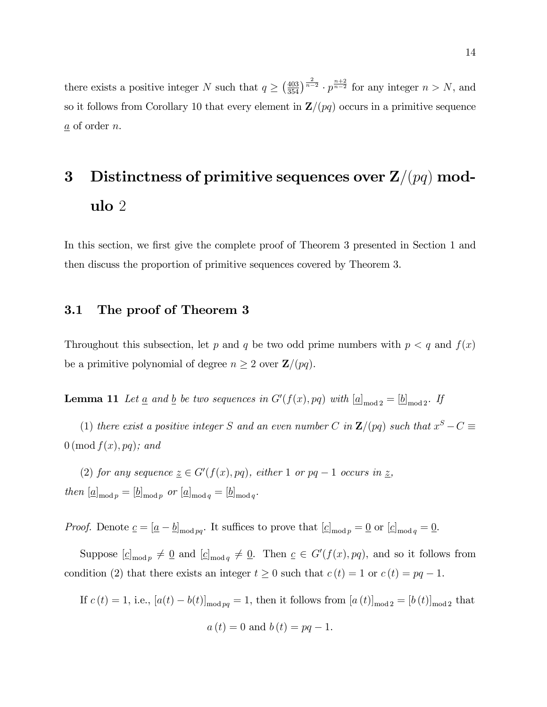there exists a positive integer N such that  $q \geq (\frac{403}{354})^{\frac{2}{n-2}} \cdot p^{\frac{n+2}{n-2}}$  for any integer  $n > N$ , and so it follows from Corollary 10 that every element in  $\mathbf{Z}/(pq)$  occurs in a primitive sequence  $\underline{a}$  of order *n*.

### 3 Distinctness of primitive sequences over  $\mathbf{Z}/(pq)$  modulo 2

In this section, we first give the complete proof of Theorem 3 presented in Section 1 and then discuss the proportion of primitive sequences covered by Theorem 3.

### 3.1 The proof of Theorem 3

Throughout this subsection, let p and q be two odd prime numbers with  $p < q$  and  $f(x)$ be a primitive polynomial of degree  $n \geq 2$  over  $\mathbf{Z}/(pq)$ .

**Lemma 11** Let <u>a</u> and <u>b</u> be two sequences in  $G'(f(x), pq)$  with  $[\underline{a}]_{\text{mod }2} = [\underline{b}]_{\text{mod }2}$ . If

(1) there exist a positive integer S and an even number C in  $\mathbf{Z}/(pq)$  such that  $x^S - C \equiv$  $0 \text{ (mod } f(x), pq);$  and

(2) for any sequence  $\underline{z} \in G'(f(x), pq)$ , either 1 or  $pq-1$  occurs in  $\underline{z}$ , then  $[\underline{a}]_{\text{mod }p} = [\underline{b}]_{\text{mod }p}$  or  $[\underline{a}]_{\text{mod }q} = [\underline{b}]_{\text{mod }q}$ .

*Proof.* Denote  $\underline{c} = [\underline{a} - \underline{b}]_{\text{mod }pq}$ . It suffices to prove that  $[\underline{c}]_{\text{mod }p} = \underline{0}$  or  $[\underline{c}]_{\text{mod }q} = \underline{0}$ .

Suppose  $[c]_{\text{mod }p} \neq \underline{0}$  and  $[c]_{\text{mod }q} \neq \underline{0}$ . Then  $c \in G'(f(x), pq)$ , and so it follows from condition (2) that there exists an integer  $t \geq 0$  such that  $c(t) = 1$  or  $c(t) = pq - 1$ .

If 
$$
c(t) = 1
$$
, i.e.,  $[a(t) - b(t)]_{\text{mod } pq} = 1$ , then it follows from  $[a(t)]_{\text{mod } 2} = [b(t)]_{\text{mod } 2}$  that  

$$
a(t) = 0 \text{ and } b(t) = pq - 1.
$$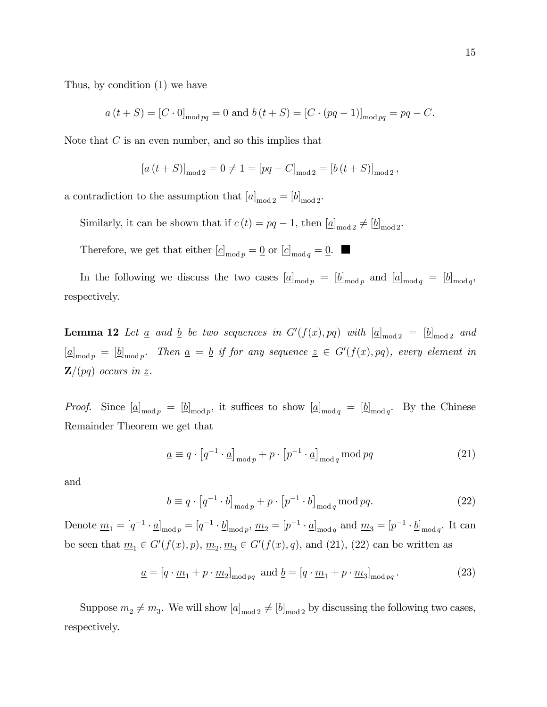Thus, by condition (1) we have

 $a(t + S) = [C \cdot 0]_{\text{mod } pq} = 0$  and  $b(t + S) = [C \cdot (pq - 1)]_{\text{mod } pq} = pq - C$ .

Note that  $C$  is an even number, and so this implies that

$$
[a(t + S)]_{\text{mod }2} = 0 \neq 1 = [pq - C]_{\text{mod }2} = [b(t + S)]_{\text{mod }2},
$$

a contradiction to the assumption that  $[\underline{a}]_{\text{mod }2} = [\underline{b}]_{\text{mod }2}$ .

Similarly, it can be shown that if  $c(t) = pq - 1$ , then  $[\underline{a}]_{\text{mod }2} \neq [\underline{b}]_{\text{mod }2}$ .

Therefore, we get that either  $[c]_{\text{mod }p} = \underline{0}$  or  $[c]_{\text{mod }q} = \underline{0}$ .

In the following we discuss the two cases  $[\underline{a}]_{\text{mod }p} = [\underline{b}]_{\text{mod }p}$  and  $[\underline{a}]_{\text{mod }q} = [\underline{b}]_{\text{mod }q}$ , respectively.

**Lemma 12** Let <u>a</u> and <u>b</u> be two sequences in  $G'(f(x), pq)$  with  $[\underline{a}]_{\text{mod }2} = [\underline{b}]_{\text{mod }2}$  and  $[\underline{a}]_{\text{mod }p} = [\underline{b}]_{\text{mod }p}$ . Then  $\underline{a} = \underline{b}$  if for any sequence  $\underline{z} \in G'(f(x), pq)$ , every element in  $\mathbf{Z}/(pq)$  occurs in z.

*Proof.* Since  $[\underline{a}]_{\text{mod }p} = [\underline{b}]_{\text{mod }p}$ , it suffices to show  $[\underline{a}]_{\text{mod }q} = [\underline{b}]_{\text{mod }q}$ . By the Chinese Remainder Theorem we get that

$$
\underline{a} \equiv q \cdot \left[ q^{-1} \cdot \underline{a} \right]_{\text{mod } p} + p \cdot \left[ p^{-1} \cdot \underline{a} \right]_{\text{mod } q} \text{mod } pq \tag{21}
$$

and

$$
\underline{b} \equiv q \cdot \left[ q^{-1} \cdot \underline{b} \right]_{\text{mod } p} + p \cdot \left[ p^{-1} \cdot \underline{b} \right]_{\text{mod } q} \text{mod } pq. \tag{22}
$$

Denote  $\underline{m}_1 = [q^{-1} \cdot \underline{a}]_{\text{mod } p} = [q^{-1} \cdot \underline{b}]_{\text{mod } p}, \underline{m}_2 = [p^{-1} \cdot \underline{a}]_{\text{mod } q}$  and  $\underline{m}_3 = [p^{-1} \cdot \underline{b}]_{\text{mod } q}$ . It can be seen that  $\underline{m}_1 \in G'(f(x), p)$ ,  $\underline{m}_2, \underline{m}_3 \in G'(f(x), q)$ , and (21), (22) can be written as

$$
\underline{a} = [q \cdot \underline{m}_1 + p \cdot \underline{m}_2]_{\text{mod } pq} \text{ and } \underline{b} = [q \cdot \underline{m}_1 + p \cdot \underline{m}_3]_{\text{mod } pq}.
$$
 (23)

Suppose  $\underline{m}_2 \neq \underline{m}_3$ . We will show  $[\underline{a}]_{\text{mod }2} \neq [\underline{b}]_{\text{mod }2}$  by discussing the following two cases, respectively.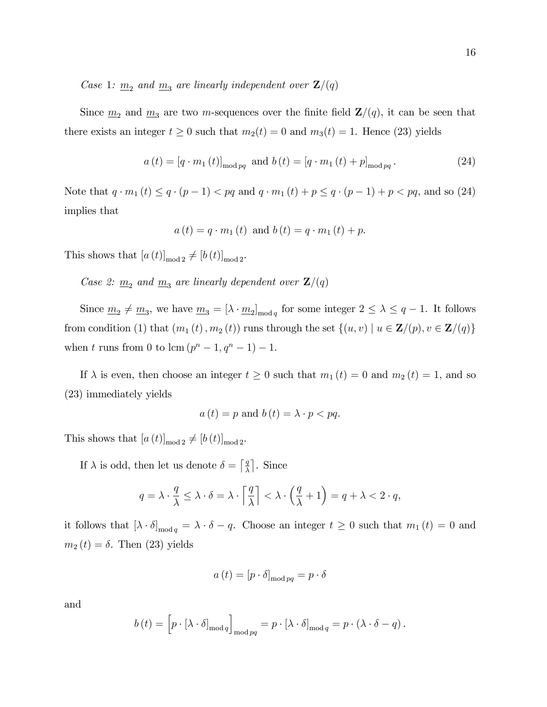Case 1:  $\underline{m}_2$  and  $\underline{m}_3$  are linearly independent over  $\mathbf{Z}/(q)$ 

Since  $\underline{m}_2$  and  $\underline{m}_3$  are two m-sequences over the finite field  $\mathbf{Z}/(q)$ , it can be seen that there exists an integer  $t \geq 0$  such that  $m_2(t) = 0$  and  $m_3(t) = 1$ . Hence (23) yields

$$
a(t) = [q \cdot m_1(t)]_{\text{mod } pq}
$$
 and  $b(t) = [q \cdot m_1(t) + p]_{\text{mod } pq}$ . (24)

Note that  $q \cdot m_1 (t) \le q \cdot (p - 1) < pq$  and  $q \cdot m_1 (t) + p \le q \cdot (p - 1) + p < pq$ , and so (24) implies that

$$
a(t) = q \cdot m_1(t)
$$
 and  $b(t) = q \cdot m_1(t) + p$ .

This shows that  $[a(t)]_{\text{mod } 2} \neq [b(t)]_{\text{mod } 2}$ .

Case 2:  $\underline{m}_2$  and  $\underline{m}_3$  are linearly dependent over  $\mathbf{Z}/(q)$ 

Since  $\underline{m}_2 \neq \underline{m}_3$ , we have  $\underline{m}_3 = [\lambda \cdot \underline{m}_2]_{\text{mod }q}$  for some integer  $2 \leq \lambda \leq q-1$ . It follows from condition (1) that  $(m_1(t), m_2(t))$  runs through the set  $\{(u, v) | u \in \mathbf{Z}/(p), v \in \mathbf{Z}/(q)\}\$ when t runs from 0 to  $\text{lcm} (p^{n} - 1, q^{n} - 1) - 1.$ 

If  $\lambda$  is even, then choose an integer  $t \geq 0$  such that  $m_1(t) = 0$  and  $m_2(t) = 1$ , and so (23) immediately yields

$$
a(t) = p \text{ and } b(t) = \lambda \cdot p < pq.
$$

This shows that  $[a(t)]_{\text{mod }2} \neq [b(t)]_{\text{mod }2}$ .

If  $\lambda$  is odd, then let us denote  $\delta = \lceil \frac{q}{\lambda} \rceil$  $\frac{q}{\lambda}$ . Since

$$
q = \lambda \cdot \frac{q}{\lambda} \le \lambda \cdot \delta = \lambda \cdot \left\lceil \frac{q}{\lambda} \right\rceil < \lambda \cdot \left( \frac{q}{\lambda} + 1 \right) = q + \lambda < 2 \cdot q,
$$

it follows that  $[\lambda \cdot \delta]_{\text{mod } q} = \lambda \cdot \delta - q$ . Choose an integer  $t \geq 0$  such that  $m_1(t) = 0$  and  $m_2(t) = \delta$ . Then (23) yields

$$
a(t) = [p \cdot \delta]_{\text{mod } pq} = p \cdot \delta
$$

and

$$
b(t) = \left[ p \cdot [\lambda \cdot \delta]_{\text{mod } q} \right]_{\text{mod } pq} = p \cdot [\lambda \cdot \delta]_{\text{mod } q} = p \cdot (\lambda \cdot \delta - q).
$$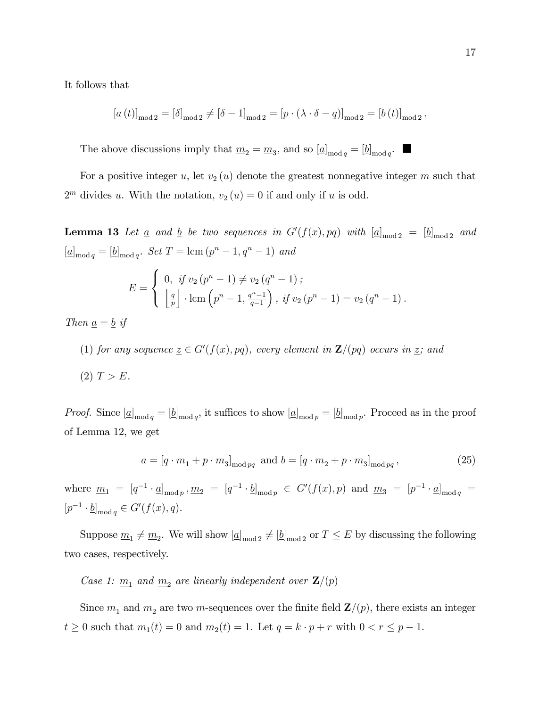It follows that

$$
[a(t)]_{\text{mod }2} = [\delta]_{\text{mod }2} \neq [\delta - 1]_{\text{mod }2} = [p \cdot (\lambda \cdot \delta - q)]_{\text{mod }2} = [b(t)]_{\text{mod }2}.
$$

The above discussions imply that  $\underline{m}_2 = \underline{m}_3$ , and so  $[\underline{a}]_{\text{mod } q} = [\underline{b}]_{\text{mod } q}$ .

For a positive integer u, let  $v_2(u)$  denote the greatest nonnegative integer m such that  $2<sup>m</sup>$  divides u. With the notation,  $v_2(u) = 0$  if and only if u is odd.

**Lemma 13** Let  $\underline{a}$  and  $\underline{b}$  be two sequences in  $G'(f(x), pq)$  with  $[\underline{a}]_{\text{mod }2} = [\underline{b}]_{\text{mod }2}$  and  $[\underline{a}]_{\text{mod } q} = [\underline{b}]_{\text{mod } q}$ . Set  $T = \text{lcm } (p^n - 1, q^n - 1)$  and

$$
E = \begin{cases} 0, & \text{if } v_2 \left( p^n - 1 \right) \neq v_2 \left( q^n - 1 \right); \\ \left\lfloor \frac{q}{p} \right\rfloor \cdot \text{lcm} \left( p^n - 1, \frac{q^n - 1}{q - 1} \right), & \text{if } v_2 \left( p^n - 1 \right) = v_2 \left( q^n - 1 \right). \end{cases}
$$

Then  $\underline{a} = \underline{b}$  if

(1) for any sequence  $\underline{z} \in G'(f(x), pq)$ , every element in  $\mathbf{Z}/(pq)$  occurs in  $\underline{z}$ ; and

$$
(2) T > E.
$$

*Proof.* Since  $[\underline{a}]_{\text{mod }q} = [\underline{b}]_{\text{mod }q}$ , it suffices to show  $[\underline{a}]_{\text{mod }p} = [\underline{b}]_{\text{mod }p}$ . Proceed as in the proof of Lemma 12, we get

$$
\underline{a} = [q \cdot \underline{m}_1 + p \cdot \underline{m}_3]_{\text{mod } pq} \text{ and } \underline{b} = [q \cdot \underline{m}_2 + p \cdot \underline{m}_3]_{\text{mod } pq},\tag{25}
$$

where  $\underline{m}_1 = [q^{-1} \cdot \underline{a}]_{\text{mod } p}, \underline{m}_2 = [q^{-1} \cdot \underline{b}]_{\text{mod } p} \in G'(f(x), p)$  and  $\underline{m}_3 = [p^{-1} \cdot \underline{a}]_{\text{mod } q} =$  $[p^{-1} \cdot \underline{b}]_{\text{mod } q} \in G'(f(x), q).$ 

Suppose  $\underline{m}_1 \neq \underline{m}_2$ . We will show  $[\underline{a}]_{\text{mod }2} \neq [\underline{b}]_{\text{mod }2}$  or  $T \leq E$  by discussing the following two cases, respectively.

Case 1:  $\underline{m}_1$  and  $\underline{m}_2$  are linearly independent over  $\mathbf{Z}/(p)$ 

Since  $\underline{m}_1$  and  $\underline{m}_2$  are two m-sequences over the finite field  $\mathbf{Z}/(p)$ , there exists an integer  $t \geq 0$  such that  $m_1(t) = 0$  and  $m_2(t) = 1$ . Let  $q = k \cdot p + r$  with  $0 < r \leq p - 1$ .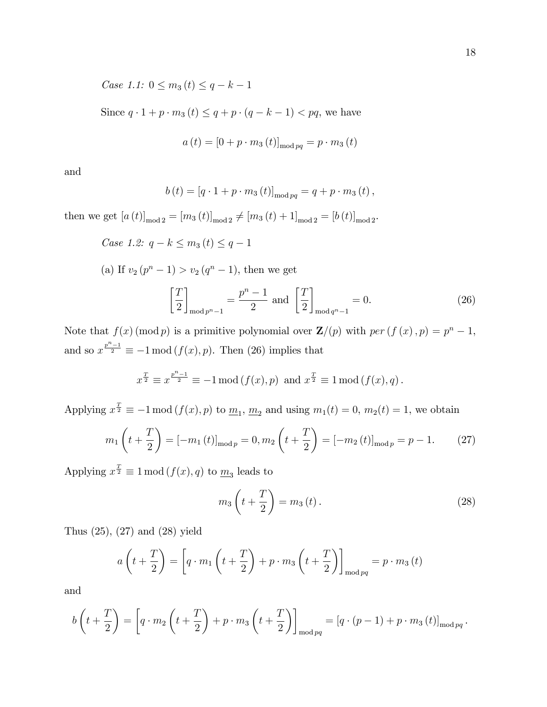Case 1.1:  $0 \leq m_3(t) \leq q - k - 1$ 

Since  $q \cdot 1 + p \cdot m_3(t) \le q + p \cdot (q - k - 1) < pq$ , we have

$$
a(t) = [0 + p \cdot m_3(t)]_{\text{mod }pq} = p \cdot m_3(t)
$$

and

$$
b(t) = [q \cdot 1 + p \cdot m_3(t)]_{\text{mod } pq} = q + p \cdot m_3(t),
$$

then we get  $[a(t)]_{\text{mod }2} = [m_3(t)]_{\text{mod }2} \neq [m_3(t) + 1]_{\text{mod }2} = [b(t)]_{\text{mod }2}$ .

Case 1.2: 
$$
q - k \leq m_3(t) \leq q - 1
$$

(a) If  $v_2(p^n - 1) > v_2(q^n - 1)$ , then we get

$$
\left[\frac{T}{2}\right]_{\text{mod }p^n-1} = \frac{p^n-1}{2} \text{ and } \left[\frac{T}{2}\right]_{\text{mod }q^n-1} = 0. \tag{26}
$$

Note that  $f(x) \pmod{p}$  is a primitive polynomial over  $\mathbf{Z}/(p)$  with  $per(f(x), p) = p^{n} - 1$ , and so  $x^{\frac{p^n-1}{2}} \equiv -1 \mod (f(x), p)$ . Then (26) implies that

$$
x^{\frac{T}{2}} \equiv x^{\frac{p^n-1}{2}} \equiv -1 \mod(f(x), p) \text{ and } x^{\frac{T}{2}} \equiv 1 \mod(f(x), q).
$$

Applying  $x^{\frac{T}{2}} \equiv -1 \mod (f(x), p)$  to  $\underline{m}_1, \underline{m}_2$  and using  $m_1(t) = 0, m_2(t) = 1$ , we obtain

$$
m_1\left(t + \frac{T}{2}\right) = [-m_1(t)]_{\text{mod }p} = 0, m_2\left(t + \frac{T}{2}\right) = [-m_2(t)]_{\text{mod }p} = p - 1. \tag{27}
$$

Applying  $x^{\frac{T}{2}} \equiv 1 \mod (f(x), q)$  to  $\underline{m}_3$  leads to

$$
m_3\left(t+\frac{T}{2}\right) = m_3\left(t\right). \tag{28}
$$

Thus (25), (27) and (28) yield

$$
a\left(t+\frac{T}{2}\right) = \left[q \cdot m_1\left(t+\frac{T}{2}\right) + p \cdot m_3\left(t+\frac{T}{2}\right)\right]_{\text{mod } pq} = p \cdot m_3(t)
$$

and

$$
b\left(t+\frac{T}{2}\right) = \left[q \cdot m_2\left(t+\frac{T}{2}\right) + p \cdot m_3\left(t+\frac{T}{2}\right)\right]_{\text{mod } pq} = \left[q \cdot (p-1) + p \cdot m_3\left(t\right)\right]_{\text{mod } pq}.
$$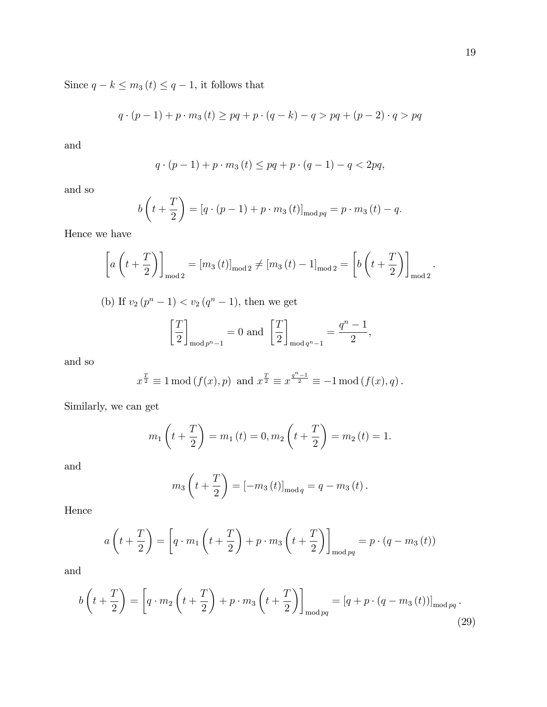Since  $q - k \leq m_3 (t) \leq q - 1$ , it follows that

$$
q \cdot (p-1) + p \cdot m_3(t) \ge pq + p \cdot (q-k) - q > pq + (p-2) \cdot q > pq
$$

and

$$
q \cdot (p-1) + p \cdot m_3(t) \leq pq + p \cdot (q-1) - q < 2pq,
$$

and so

$$
b\left(t + \frac{T}{2}\right) = [q \cdot (p-1) + p \cdot m_3(t)]_{\text{mod } pq} = p \cdot m_3(t) - q.
$$

Hence we have

$$
\[a\left(t+\frac{T}{2}\right)\]_{\text{mod }2} = [m_3(t)]_{\text{mod }2} \neq [m_3(t) - 1]_{\text{mod }2} = \left[b\left(t+\frac{T}{2}\right)\right]_{\text{mod }2}.
$$
\n(b) If  $v_2(p^n - 1) < v_2(q^n - 1)$ , then we get\n
$$
\[T\] \qquad \qquad q^n - 1
$$

$$
\left[\frac{T}{2}\right]_{\text{mod }p^n-1} = 0 \text{ and } \left[\frac{T}{2}\right]_{\text{mod }q^n-1} = \frac{q^n-1}{2},
$$

and so

$$
x^{\frac{T}{2}} \equiv 1 \mod(f(x), p)
$$
 and  $x^{\frac{T}{2}} \equiv x^{\frac{q^n-1}{2}} \equiv -1 \mod(f(x), q)$ .

Similarly, we can get

$$
m_1\left(t+\frac{T}{2}\right) = m_1(t) = 0, m_2\left(t+\frac{T}{2}\right) = m_2(t) = 1.
$$

and

$$
m_3\left(t+\frac{T}{2}\right) = [-m_3(t)]_{\text{mod }q} = q - m_3(t).
$$

Hence

$$
a\left(t+\frac{T}{2}\right) = \left[q \cdot m_1\left(t+\frac{T}{2}\right) + p \cdot m_3\left(t+\frac{T}{2}\right)\right]_{\text{mod } pq} = p \cdot (q - m_3(t))
$$

and

$$
b\left(t+\frac{T}{2}\right) = \left[q \cdot m_2\left(t+\frac{T}{2}\right) + p \cdot m_3\left(t+\frac{T}{2}\right)\right]_{\text{mod } pq} = \left[q + p \cdot \left(q - m_3\left(t\right)\right)\right]_{\text{mod } pq}.
$$
\n(29)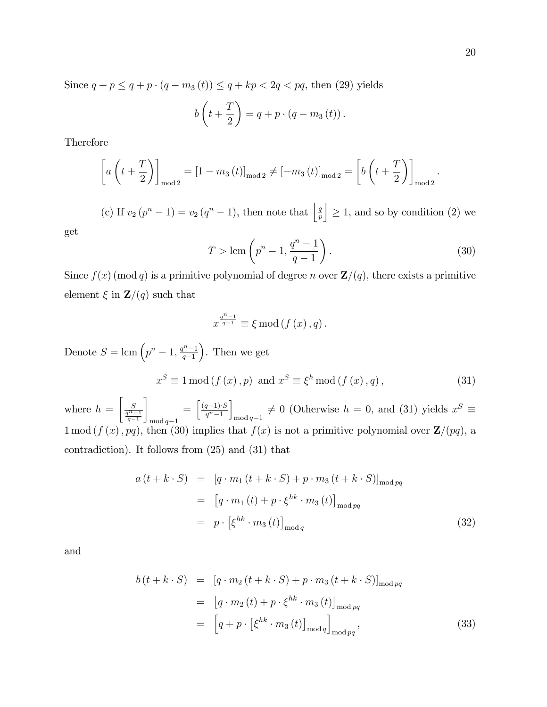Since  $q + p \leq q + p \cdot (q - m_3(t)) \leq q + kp < 2q < pq$ , then (29) yields

$$
b\left(t+\frac{T}{2}\right)=q+p\cdot\left(q-m_3\left(t\right)\right).
$$

Therefore

$$
\[a\left(t+\frac{T}{2}\right)\]_{\text{mod }2} = \left[1-m_3\left(t\right)\right]_{\text{mod }2} \neq \left[-m_3\left(t\right)\right]_{\text{mod }2} = \left[b\left(t+\frac{T}{2}\right)\right]_{\text{mod }2}
$$

(c) If  $v_2(p^n - 1) = v_2(q^n - 1)$ , then note that  $\Big|\frac{q}{p}\Big|$ p  $\vert \geq 1$ , and so by condition (2) we

get

$$
T > \text{lcm}\left(p^n - 1, \frac{q^n - 1}{q - 1}\right). \tag{30}
$$

Since  $f(x) \pmod{q}$  is a primitive polynomial of degree n over  $\mathbf{Z}/(q)$ , there exists a primitive element  $\xi$  in  $\mathbf{Z}/(q)$  such that

$$
x^{\frac{q^{n}-1}{q-1}} \equiv \xi \bmod(f(x), q).
$$

Denote  $S = \text{lcm} \left( p^n - 1, \frac{q^n - 1}{q - 1} \right)$  $q-1$  . Then we get  $x^{S} \equiv 1 \mod (f(x), p) \text{ and } x^{S} \equiv \xi^{h} \mod (f(x), q),$  (31)

where  $h =$  $\left[\frac{S}{\frac{q^n-1}{q-1}}\right.$ 1  $\mod q-1$  $= \left[ \frac{(q-1)\cdot S}{a^n-1} \right]$  $q^n-1$ i  $_{\text{mod }q-1} \neq 0$  (Otherwise  $h = 0$ , and (31) yields  $x^S \equiv$  $1 \mod (f(x), pq)$ , then (30) implies that  $f(x)$  is not a primitive polynomial over  $\mathbb{Z}/(pq)$ , a contradiction). It follows from (25) and (31) that

$$
a(t + k \cdot S) = [q \cdot m_1(t + k \cdot S) + p \cdot m_3(t + k \cdot S)]_{\text{mod } pq}
$$
  

$$
= [q \cdot m_1(t) + p \cdot \xi^{hk} \cdot m_3(t)]_{\text{mod } pq}
$$
  

$$
= p \cdot [\xi^{hk} \cdot m_3(t)]_{\text{mod } q}
$$
 (32)

and

$$
b(t + k \cdot S) = [q \cdot m_2(t + k \cdot S) + p \cdot m_3(t + k \cdot S)]_{\text{mod } pq}
$$
  

$$
= [q \cdot m_2(t) + p \cdot \xi^{hk} \cdot m_3(t)]_{\text{mod } pq}
$$
  

$$
= [q + p \cdot [\xi^{hk} \cdot m_3(t)]_{\text{mod } q}]_{\text{mod } pq},
$$
 (33)

.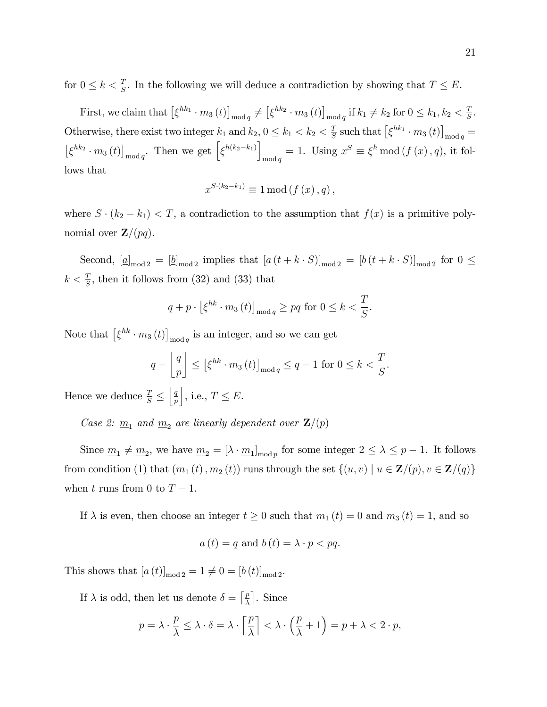for  $0 \leq k < \frac{T}{S}$ . In the following we will deduce a contradiction by showing that  $T \leq E$ .

First, we claim that  $\left[\xi^{hk_1} \cdot m_3(t)\right]_{\text{mod } q} \neq \left[\xi^{hk_2} \cdot m_3(t)\right]_{\text{mod } q}$  if  $k_1 \neq k_2$  for  $0 \leq k_1, k_2 < \frac{7}{5}$  $\frac{T}{S}$ . Otherwise, there exist two integer  $k_1$  and  $k_2$ ,  $0 \le k_1 < k_2 < \frac{7}{5}$  $\frac{T}{S}$  such that  $\left[\xi^{hk_1} \cdot m_3(t)\right]_{\text{mod } q}$  =  $\left[\xi^{hk_2} \cdot m_3(t)\right]_{\text{mod } q}$ . Then we get  $\left[\xi^{h(k_2-k_1)}\right]$  $\lim_{\text{mod } q}$  = 1. Using  $x^S \equiv \xi^h \mod (f(x), q)$ , it follows that

$$
x^{S\cdot(k_2-k_1)} \equiv 1 \mod (f(x), q),
$$

where  $S \cdot (k_2 - k_1) < T$ , a contradiction to the assumption that  $f(x)$  is a primitive polynomial over  $\mathbf{Z}/(pq)$ .

Second,  $[\underline{a}]_{\text{mod }2} = [\underline{b}]_{\text{mod }2}$  implies that  $[a(t+k\cdot S)]_{\text{mod }2} = [b(t+k\cdot S)]_{\text{mod }2}$  for  $0 \le$  $k < \frac{T}{S}$ , then it follows from (32) and (33) that

$$
q+p\cdot\left[\xi^{hk}\cdot m_3(t)\right]_{\text{mod }q}\geq pq \text{ for } 0\leq k<\frac{T}{S}.
$$

Note that  $\left[\xi^{hk} \cdot m_3(t)\right]_{\text{mod } q}$  is an integer, and so we can get

$$
q - \left\lfloor \frac{q}{p} \right\rfloor \le \left[ \xi^{hk} \cdot m_3(t) \right]_{\text{mod } q} \le q - 1 \text{ for } 0 \le k < \frac{T}{S}.
$$

Hence we deduce  $\frac{T}{S} \leq$  $\vert q$ p  $\Big|$ , i.e.,  $T \leq E$ .

Case 2:  $\underline{m}_1$  and  $\underline{m}_2$  are linearly dependent over  $\mathbf{Z}/(p)$ 

Since  $\underline{m}_1 \neq \underline{m}_2$ , we have  $\underline{m}_2 = [\lambda \cdot \underline{m}_1]_{\text{mod } p}$  for some integer  $2 \leq \lambda \leq p-1$ . It follows from condition (1) that  $(m_1(t), m_2(t))$  runs through the set  $\{(u, v) | u \in \mathbf{Z}/(p), v \in \mathbf{Z}/(q)\}$ when t runs from 0 to  $T-1$ .

If  $\lambda$  is even, then choose an integer  $t \geq 0$  such that  $m_1(t) = 0$  and  $m_3(t) = 1$ , and so

$$
a(t) = q \text{ and } b(t) = \lambda \cdot p < pq.
$$

This shows that  $[a(t)]_{\text{mod }2} = 1 \neq 0 = [b(t)]_{\text{mod }2}$ .

If  $\lambda$  is odd, then let us denote  $\delta = \lceil \frac{p}{\lambda} \rceil$  $\frac{p}{\lambda}$ . Since

$$
p = \lambda \cdot \frac{p}{\lambda} \le \lambda \cdot \delta = \lambda \cdot \left\lceil \frac{p}{\lambda} \right\rceil < \lambda \cdot \left(\frac{p}{\lambda} + 1\right) = p + \lambda < 2 \cdot p,
$$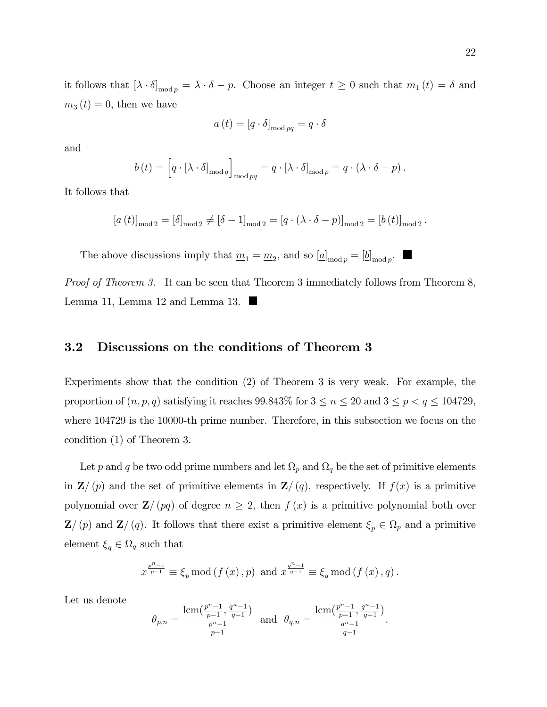it follows that  $[\lambda \cdot \delta]_{\text{mod } p} = \lambda \cdot \delta - p$ . Choose an integer  $t \geq 0$  such that  $m_1(t) = \delta$  and  $m_3(t) = 0$ , then we have

$$
a(t) = [q \cdot \delta]_{\text{mod } pq} = q \cdot \delta
$$

and

$$
b(t) = \left[q \cdot [\lambda \cdot \delta]_{\text{mod } q}\right]_{\text{mod } pq} = q \cdot [\lambda \cdot \delta]_{\text{mod } p} = q \cdot (\lambda \cdot \delta - p).
$$

It follows that

$$
[a(t)]_{\text{mod }2} = [\delta]_{\text{mod }2} \neq [\delta - 1]_{\text{mod }2} = [q \cdot (\lambda \cdot \delta - p)]_{\text{mod }2} = [b(t)]_{\text{mod }2}.
$$

The above discussions imply that  $\underline{m}_1 = \underline{m}_2$ , and so  $[\underline{a}]_{\text{mod }p} = [\underline{b}]_{\text{mod }p}$ .

Proof of Theorem 3. It can be seen that Theorem 3 immediately follows from Theorem 8, Lemma 11, Lemma 12 and Lemma 13.

#### 3.2 Discussions on the conditions of Theorem 3

Experiments show that the condition (2) of Theorem 3 is very weak. For example, the proportion of  $(n, p, q)$  satisfying it reaches 99.843% for  $3 \le n \le 20$  and  $3 \le p < q \le 104729$ , where 104729 is the 10000-th prime number. Therefore, in this subsection we focus on the condition (1) of Theorem 3.

Let p and q be two odd prime numbers and let  $\Omega_p$  and  $\Omega_q$  be the set of primitive elements in  $\mathbf{Z}/(p)$  and the set of primitive elements in  $\mathbf{Z}/(q)$ , respectively. If  $f(x)$  is a primitive polynomial over  $\mathbf{Z}/(pq)$  of degree  $n \geq 2$ , then  $f(x)$  is a primitive polynomial both over  $\mathbf{Z}/(p)$  and  $\mathbf{Z}/(q)$ . It follows that there exist a primitive element  $\xi_p \in \Omega_p$  and a primitive element  $\xi_q \in \Omega_q$  such that

$$
x^{\frac{p^{n}-1}{p-1}} \equiv \xi_{p} \mod (f(x), p) \text{ and } x^{\frac{q^{n}-1}{q-1}} \equiv \xi_{q} \mod (f(x), q).
$$

Let us denote

$$
\theta_{p,n} = \frac{\text{lcm}\left(\frac{p^n-1}{p-1}, \frac{q^n-1}{q-1}\right)}{\frac{p^n-1}{p-1}} \text{ and } \theta_{q,n} = \frac{\text{lcm}\left(\frac{p^n-1}{p-1}, \frac{q^n-1}{q-1}\right)}{\frac{q^n-1}{q-1}}.
$$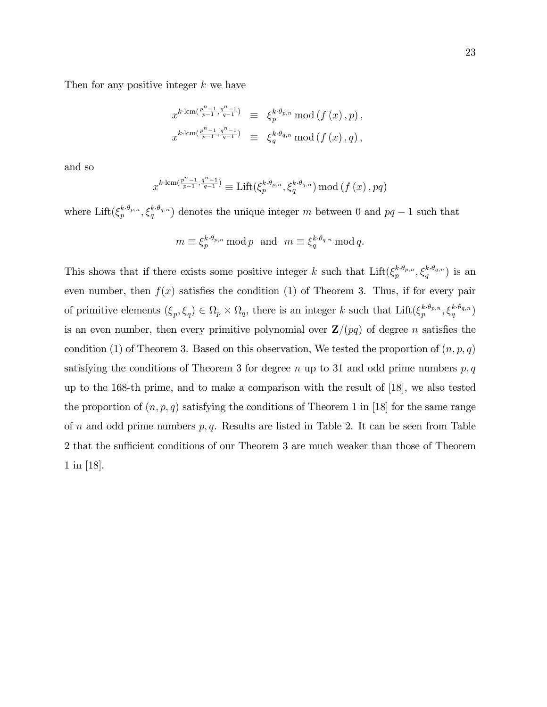Then for any positive integer  $k$  we have

$$
\begin{array}{rcl} x^{k \cdot \operatorname{lcm}(\frac{p^n - 1}{p - 1}, \frac{q^n - 1}{q - 1})} & \equiv & \xi_p^{k \cdot \theta_{p, n}} \operatorname{mod} \left( f \left( x \right), p \right), \\ x^{k \cdot \operatorname{lcm}(\frac{p^n - 1}{p - 1}, \frac{q^n - 1}{q - 1})} & \equiv & \xi_q^{k \cdot \theta_{q, n}} \operatorname{mod} \left( f \left( x \right), q \right), \end{array}
$$

and so

$$
x^{k\cdot \operatorname{lcm}\left(\frac{p^n-1}{p-1},\frac{q^n-1}{q-1}\right)}\equiv \operatorname{Lift}(\xi_p^{k\cdot \theta_{p,n}},\xi_q^{k\cdot \theta_{q,n}})\operatorname{mod}\left(f\left(x\right),pq\right)
$$

where Lift( $\xi_p^{k \cdot \theta_{p,n}}, \xi_q^{k \cdot \theta_{q,n}}$ ) denotes the unique integer m between 0 and  $pq-1$  such that

$$
m \equiv \xi_p^{k \cdot \theta_{p,n}} \bmod p \text{ and } m \equiv \xi_q^{k \cdot \theta_{q,n}} \bmod q.
$$

This shows that if there exists some positive integer k such that  $\text{Lift}(\xi_p^{k \cdot \theta_{p,n}}, \xi_q^{k \cdot \theta_{q,n}})$  is an even number, then  $f(x)$  satisfies the condition (1) of Theorem 3. Thus, if for every pair of primitive elements  $(\xi_p, \xi_q) \in \Omega_p \times \Omega_q$ , there is an integer k such that  $\text{Lift}(\xi_p^{k \cdot \theta_{p,n}}, \xi_q^{k \cdot \theta_{q,n}})$ is an even number, then every primitive polynomial over  $\mathbf{Z}/(pq)$  of degree n satisfies the condition (1) of Theorem 3. Based on this observation, We tested the proportion of  $(n, p, q)$ satisfying the conditions of Theorem 3 for degree n up to 31 and odd prime numbers  $p, q$ up to the 168-th prime, and to make a comparison with the result of [18], we also tested the proportion of  $(n, p, q)$  satisfying the conditions of Theorem 1 in [18] for the same range of n and odd prime numbers  $p, q$ . Results are listed in Table 2. It can be seen from Table 2 that the sufficient conditions of our Theorem 3 are much weaker than those of Theorem 1 in [18].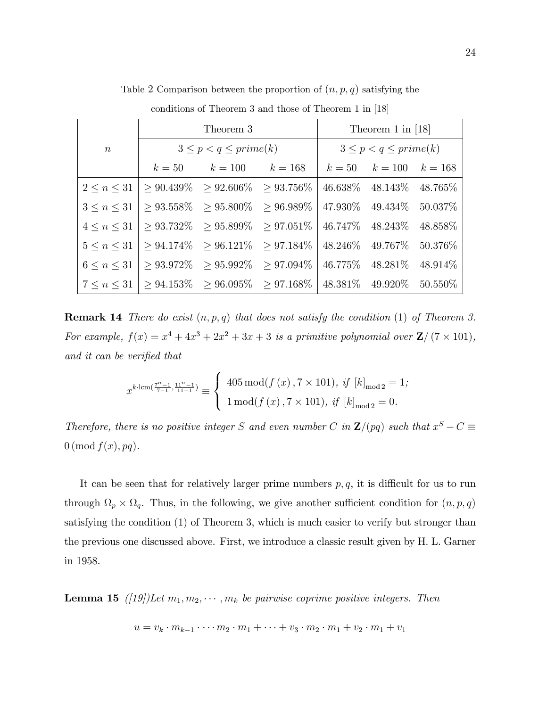|                    |                                                                                                | Theorem 3                                                           | Theorem 1 in $[18]$ |  |                              |  |  |  |
|--------------------|------------------------------------------------------------------------------------------------|---------------------------------------------------------------------|---------------------|--|------------------------------|--|--|--|
| $\boldsymbol{n}$   |                                                                                                | $3 \leq p < q \leq prime(k)$                                        |                     |  | $3 \leq p < q \leq prime(k)$ |  |  |  |
|                    |                                                                                                | $k = 50$ $k = 100$ $k = 168$ $k = 50$ $k = 100$ $k = 168$           |                     |  |                              |  |  |  |
|                    | $2 \leq n \leq 31$   > 90.439\% > 92.606\% > 93.756\%                                          |                                                                     |                     |  | 46.638\% 48.143\% 48.765\%   |  |  |  |
|                    | $3 \le n \le 31$ $\ge 93.558\% \ge 95.800\% \ge 96.989\%$   47.930\% 49.434\% 50.037\%         |                                                                     |                     |  |                              |  |  |  |
|                    | $4 \le n \le 31$   $\ge 93.732\%$ $\ge 95.899\%$ $\ge 97.051\%$   $46.747\%$ 48.243\% 48.858\% |                                                                     |                     |  |                              |  |  |  |
|                    | $5 \le n \le 31$   > 94.174\% > 96.121\% > 97.184\%   48.246\% 49.767\% 50.376\%               |                                                                     |                     |  |                              |  |  |  |
| $6 \leq n \leq 31$ |                                                                                                | $> 93.972\%$ $> 95.992\%$ $> 97.094\%$   46.775\% 48.281\% 48.914\% |                     |  |                              |  |  |  |
|                    | $7 \leq n \leq 31$   > 94.153\% > 96.095\% > 97.168\%   48.381\% 49.920\% 50.550\%             |                                                                     |                     |  |                              |  |  |  |

Table 2 Comparison between the proportion of  $(n, p, q)$  satisfying the

conditions of Theorem 3 and those of Theorem 1 in [18]

**Remark 14** There do exist  $(n, p, q)$  that does not satisfy the condition (1) of Theorem 3. For example,  $f(x) = x^4 + 4x^3 + 2x^2 + 3x + 3$  is a primitive polynomial over  $\mathbb{Z}/(7 \times 101)$ , and it can be verified that

$$
x^{k \cdot \operatorname{lcm}\left(\frac{7^{n}-1}{7-1}, \frac{11^{n}-1}{11-1}\right)} \equiv \begin{cases} 405 \operatorname{mod}(f(x), 7 \times 101), \; \text{if } [k]_{\text{mod } 2} = 1; \\ 1 \operatorname{mod}(f(x), 7 \times 101), \; \text{if } [k]_{\text{mod } 2} = 0. \end{cases}
$$

Therefore, there is no positive integer S and even number C in  $\mathbf{Z}/(pq)$  such that  $x^S - C \equiv$  $0 \pmod{f(x), pq}.$ 

It can be seen that for relatively larger prime numbers  $p, q$ , it is difficult for us to run through  $\Omega_p \times \Omega_q$ . Thus, in the following, we give another sufficient condition for  $(n, p, q)$ satisfying the condition (1) of Theorem 3, which is much easier to verify but stronger than the previous one discussed above. First, we introduce a classic result given by H. L. Garner in 1958.

**Lemma 15** ([19])Let  $m_1, m_2, \dots, m_k$  be pairwise coprime positive integers. Then

$$
u = v_k \cdot m_{k-1} \cdot \dots \cdot m_2 \cdot m_1 + \dots + v_3 \cdot m_2 \cdot m_1 + v_2 \cdot m_1 + v_1
$$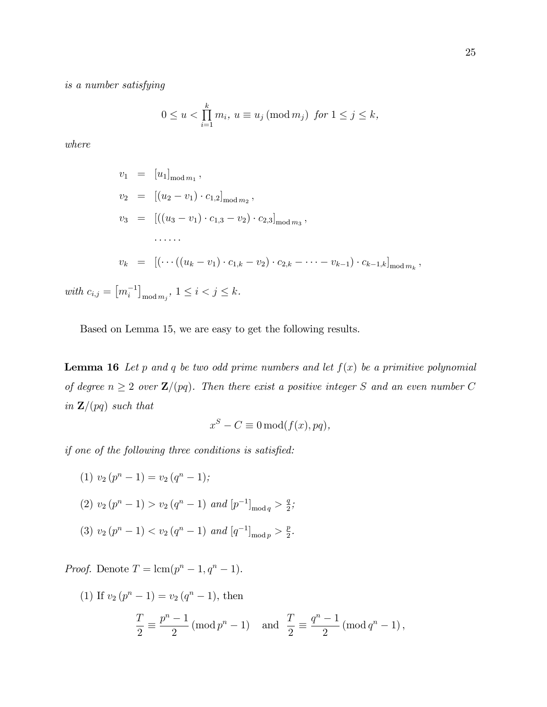is a number satisfying

$$
0 \le u < \prod_{i=1}^k m_i, \ u \equiv u_j \, (\text{mod } m_j) \ \text{ for } 1 \le j \le k,
$$

where

$$
v_1 = [u_1]_{\text{mod } m_1},
$$
  
\n
$$
v_2 = [(u_2 - v_1) \cdot c_{1,2}]_{\text{mod } m_2},
$$
  
\n
$$
v_3 = [((u_3 - v_1) \cdot c_{1,3} - v_2) \cdot c_{2,3}]_{\text{mod } m_3},
$$
  
\n........  
\n
$$
v_k = [(\cdots((u_k - v_1) \cdot c_{1,k} - v_2) \cdot c_{2,k} - \cdots - v_{k-1}) \cdot c_{k-1,k}]_{\text{mod } m_k},
$$
  
\n
$$
[m_i^{-1}]_{\text{mod } m_j}, 1 \le i < j \le k.
$$

with  $c_{i,j} = [m_i^{-1}]_{mod m_j}$ 

Based on Lemma 15, we are easy to get the following results.

**Lemma 16** Let p and q be two odd prime numbers and let  $f(x)$  be a primitive polynomial of degree  $n \geq 2$  over  $\mathbf{Z}/(pq)$ . Then there exist a positive integer S and an even number C in  $\mathbf{Z}/(pq)$  such that

$$
x^{S} - C \equiv 0 \mod (f(x), pq),
$$

if one of the following three conditions is satisfied:

(1) 
$$
v_2(p^n - 1) = v_2(q^n - 1);
$$
  
\n(2)  $v_2(p^n - 1) > v_2(q^n - 1)$  and  $[p^{-1}]_{\text{mod } q} > \frac{q}{2};$   
\n(3)  $v_2(p^n - 1) < v_2(q^n - 1)$  and  $[q^{-1}]_{\text{mod } p} > \frac{p}{2}.$ 

*Proof.* Denote  $T = \text{lcm}(p^n - 1, q^n - 1)$ .

(1) If 
$$
v_2(p^n - 1) = v_2(q^n - 1)
$$
, then  
\n
$$
\frac{T}{2} \equiv \frac{p^n - 1}{2} (\text{mod } p^n - 1) \text{ and } \frac{T}{2} \equiv \frac{q^n - 1}{2} (\text{mod } q^n - 1),
$$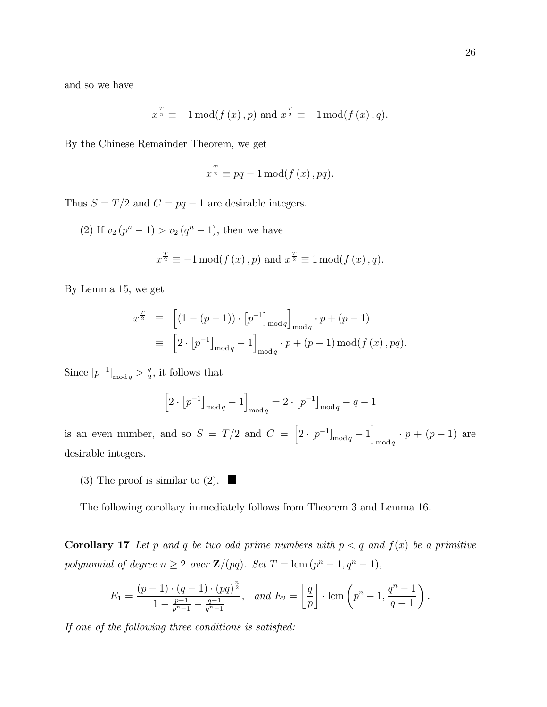and so we have

$$
x^{\frac{T}{2}} \equiv -1 \mod(f(x), p)
$$
 and  $x^{\frac{T}{2}} \equiv -1 \mod(f(x), q)$ .

By the Chinese Remainder Theorem, we get

$$
x^{\frac{T}{2}} \equiv pq - 1 \mod (f(x), pq).
$$

Thus  $S = T/2$  and  $C = pq - 1$  are desirable integers.

(2) If  $v_2(p^n - 1) > v_2(q^n - 1)$ , then we have  $x^{\frac{T}{2}} \equiv -1 \mod (f(x), p) \text{ and } x^{\frac{T}{2}} \equiv 1 \mod (f(x), q).$ 

By Lemma 15, we get

$$
x^{\frac{T}{2}} \equiv \left[ (1 - (p - 1)) \cdot [p^{-1}]_{\text{mod } q} \right]_{\text{mod } q} \cdot p + (p - 1)
$$
  

$$
\equiv \left[ 2 \cdot [p^{-1}]_{\text{mod } q} - 1 \right]_{\text{mod } q} \cdot p + (p - 1) \text{ mod}(f(x), pq).
$$

Since  $[p^{-1}]_{\text{mod }q} > \frac{q}{2}$  $\frac{q}{2}$ , it follows that

$$
\left[2 \cdot \left[p^{-1}\right]_{\text{mod } q} - 1\right]_{\text{mod } q} = 2 \cdot \left[p^{-1}\right]_{\text{mod } q} - q - 1
$$

is an even number, and so  $S = T/2$  and  $C = \left[2 \cdot [p^{-1}]_{\text{mod } q} - 1\right]$  $\begin{aligned} \n\text{mod } q \cdot p + (p-1) \text{ are} \n\end{aligned}$ desirable integers.

(3) The proof is similar to (2).  $\Box$ 

The following corollary immediately follows from Theorem 3 and Lemma 16.

**Corollary 17** Let p and q be two odd prime numbers with  $p < q$  and  $f(x)$  be a primitive polynomial of degree  $n \geq 2$  over  $\mathbf{Z}/(pq)$ . Set  $T = \text{lcm } (p^n - 1, q^n - 1)$ ,

$$
E_1 = \frac{(p-1) \cdot (q-1) \cdot (pq)^{\frac{n}{2}}}{1 - \frac{p-1}{p^n - 1} - \frac{q-1}{q^n - 1}}, \text{ and } E_2 = \left\lfloor \frac{q}{p} \right\rfloor \cdot \text{lcm}\left(p^n - 1, \frac{q^n - 1}{q - 1}\right).
$$

If one of the following three conditions is satisfied: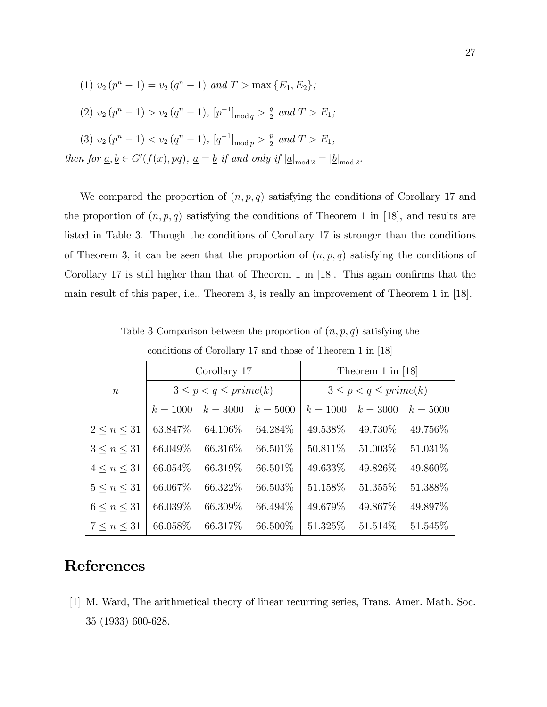(1) 
$$
v_2(p^n - 1) = v_2(q^n - 1)
$$
 and  $T > \max\{E_1, E_2\};$   
\n(2)  $v_2(p^n - 1) > v_2(q^n - 1), [p^{-1}]_{\text{mod }q} > \frac{q}{2}$  and  $T > E_1;$   
\n(3)  $v_2(p^n - 1) < v_2(q^n - 1), [q^{-1}]_{\text{mod }p} > \frac{p}{2}$  and  $T > E_1,$   
\nthen for  $\underline{a}, \underline{b} \in G'(f(x), pq), \underline{a} = \underline{b}$  if and only if  $[\underline{a}]_{\text{mod }2} = [\underline{b}]_{\text{mod }2}.$ 

We compared the proportion of  $(n, p, q)$  satisfying the conditions of Corollary 17 and the proportion of  $(n, p, q)$  satisfying the conditions of Theorem 1 in [18], and results are listed in Table 3. Though the conditions of Corollary 17 is stronger than the conditions of Theorem 3, it can be seen that the proportion of  $(n, p, q)$  satisfying the conditions of Corollary 17 is still higher than that of Theorem 1 in  $[18]$ . This again confirms that the main result of this paper, i.e., Theorem 3, is really an improvement of Theorem 1 in [18].

|                    | Corollary 17                 |            |            | Theorem 1 in $[18]$          |            |            |
|--------------------|------------------------------|------------|------------|------------------------------|------------|------------|
| $\boldsymbol{n}$   | $3 \leq p < q \leq prime(k)$ |            |            | $3 \leq p < q \leq prime(k)$ |            |            |
|                    | $k = 1000$                   | $k = 3000$ | $k = 5000$ | $k = 1000$                   | $k = 3000$ | $k = 5000$ |
| $2 \leq n \leq 31$ | 63.847\%                     | 64.106\%   | 64.284\%   | 49.538%                      | 49.730\%   | 49.756\%   |
| $3 \leq n \leq 31$ | 66.049\%                     | 66.316\%   | 66.501\%   | 50.811\%                     | 51.003\%   | 51.031\%   |
| $4 \leq n \leq 31$ | 66.054\%                     | 66.319%    | 66.501\%   | 49.633\%                     | 49.826\%   | 49.860\%   |
| $5 \leq n \leq 31$ | 66.067\%                     | 66.322%    | 66.503%    | 51.158%                      | 51.355\%   | 51.388%    |
| $6 \leq n \leq 31$ | 66.039%                      | 66.309%    | 66.494\%   | 49.679%                      | 49.867\%   | 49.897%    |
| $7 \leq n \leq 31$ | 66.058\%                     | 66.317\%   | 66.500\%   | 51.325\%                     | 51.514\%   | 51.545\%   |

Table 3 Comparison between the proportion of  $(n, p, q)$  satisfying the

conditions of Corollary 17 and those of Theorem 1 in [18]

### References

[1] M. Ward, The arithmetical theory of linear recurring series, Trans. Amer. Math. Soc. 35 (1933) 600-628.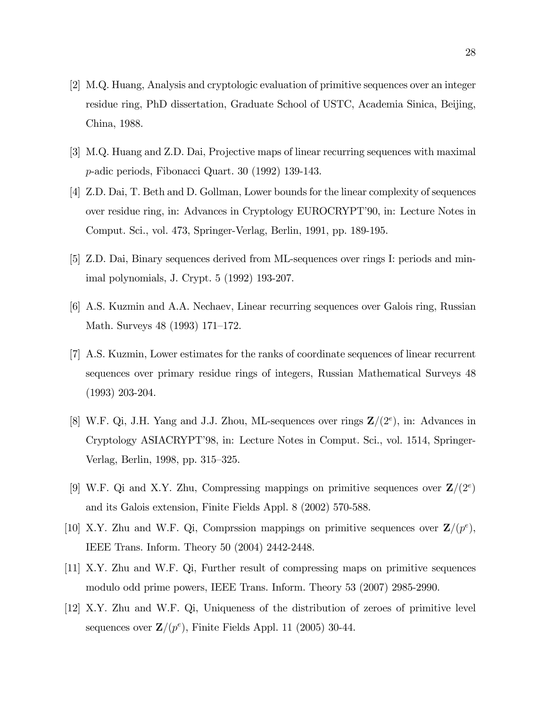- [2] M.Q. Huang, Analysis and cryptologic evaluation of primitive sequences over an integer residue ring, PhD dissertation, Graduate School of USTC, Academia Sinica, Beijing, China, 1988.
- [3] M.Q. Huang and Z.D. Dai, Projective maps of linear recurring sequences with maximal p-adic periods, Fibonacci Quart. 30 (1992) 139-143.
- [4] Z.D. Dai, T. Beth and D. Gollman, Lower bounds for the linear complexity of sequences over residue ring, in: Advances in Cryptology EUROCRYPT'90, in: Lecture Notes in Comput. Sci., vol. 473, Springer-Verlag, Berlin, 1991, pp. 189-195.
- [5] Z.D. Dai, Binary sequences derived from ML-sequences over rings I: periods and minimal polynomials, J. Crypt. 5 (1992) 193-207.
- [6] A.S. Kuzmin and A.A. Nechaev, Linear recurring sequences over Galois ring, Russian Math. Surveys  $48$  (1993) 171–172.
- [7] A.S. Kuzmin, Lower estimates for the ranks of coordinate sequences of linear recurrent sequences over primary residue rings of integers, Russian Mathematical Surveys 48 (1993) 203-204.
- [8] W.F. Qi, J.H. Yang and J.J. Zhou, ML-sequences over rings  $\mathbb{Z}/(2^e)$ , in: Advances in Cryptology ASIACRYPTí98, in: Lecture Notes in Comput. Sci., vol. 1514, Springer-Verlag, Berlin, 1998, pp. 315–325.
- [9] W.F. Qi and X.Y. Zhu, Compressing mappings on primitive sequences over  $\mathbf{Z}/(2^e)$ and its Galois extension, Finite Fields Appl. 8 (2002) 570-588.
- [10] X.Y. Zhu and W.F. Qi, Comprssion mappings on primitive sequences over  $\mathbf{Z}/(p^e)$ , IEEE Trans. Inform. Theory 50 (2004) 2442-2448.
- [11] X.Y. Zhu and W.F. Qi, Further result of compressing maps on primitive sequences modulo odd prime powers, IEEE Trans. Inform. Theory 53 (2007) 2985-2990.
- [12] X.Y. Zhu and W.F. Qi, Uniqueness of the distribution of zeroes of primitive level sequences over  $\mathbf{Z}/(p^e)$ , Finite Fields Appl. 11 (2005) 30-44.